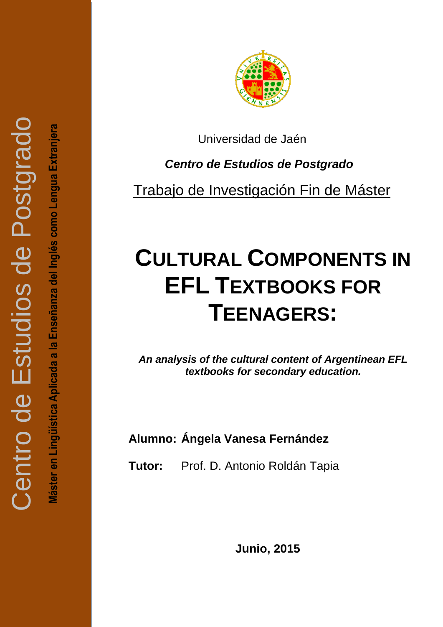Máster en Lingüística Aplicada a la Enseñanza del Inglés como Lengua Extranjera **Máster en Lingüística Aplicada a la Enseñanza del Inglés como Lengua Extranjera**



Universidad de Jaén

 *Centro de Estudios de Postgrado*

Trabajo de Investigación Fin de Máster

# **CULTURAL COMPONENTS IN EFL TEXTBOOKS FOR TEENAGERS:**

*An analysis of the cultural content of Argentinean EFL textbooks for secondary education.*

**Alumno: Ángela Vanesa Fernánde z**

**Tutor:** Prof. D. Antonio Roldán Tapia

**Junio, 2015**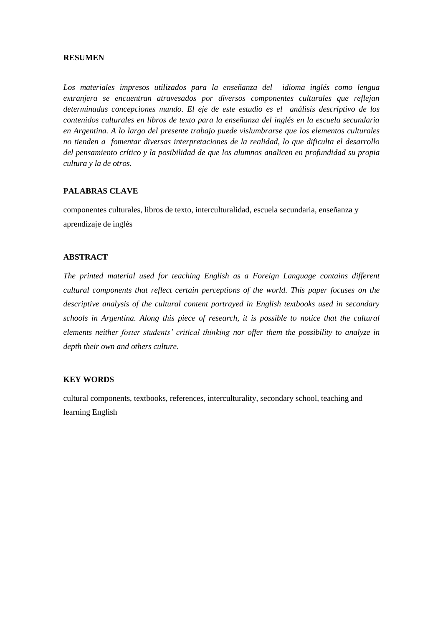## **RESUMEN**

*Los materiales impresos utilizados para la enseñanza del idioma inglés como lengua extranjera se encuentran atravesados por diversos componentes culturales que reflejan determinadas concepciones mundo. El eje de este estudio es el análisis descriptivo de los contenidos culturales en libros de texto para la enseñanza del inglés en la escuela secundaria en Argentina. A lo largo del presente trabajo puede vislumbrarse que los elementos culturales no tienden a fomentar diversas interpretaciones de la realidad, lo que dificulta el desarrollo del pensamiento crítico y la posibilidad de que los alumnos analicen en profundidad su propia cultura y la de otros.*

## **PALABRAS CLAVE**

componentes culturales, libros de texto, interculturalidad, escuela secundaria, enseñanza y aprendizaje de inglés

#### **ABSTRACT**

*The printed material used for teaching English as a Foreign Language contains different cultural components that reflect certain perceptions of the world. This paper focuses on the descriptive analysis of the cultural content portrayed in English textbooks used in secondary schools in Argentina. Along this piece of research, it is possible to notice that the cultural elements neither foster students' critical thinking nor offer them the possibility to analyze in depth their own and others culture.* 

## **KEY WORDS**

cultural components, textbooks, references, interculturality, secondary school, teaching and learning English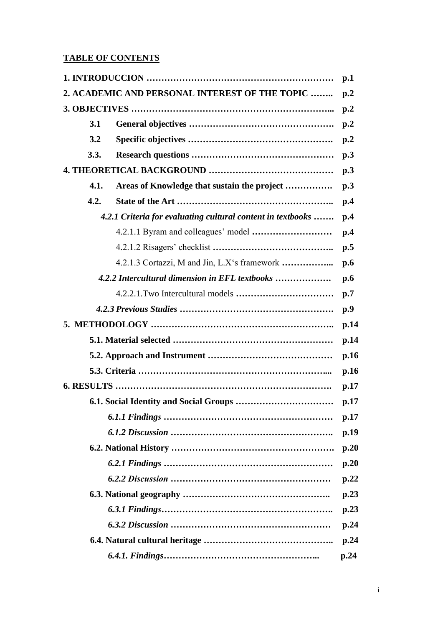## **TABLE OF CONTENTS**

| p.1                                                         |                                                |                  |
|-------------------------------------------------------------|------------------------------------------------|------------------|
| 2. ACADEMIC AND PERSONAL INTEREST OF THE TOPIC              |                                                |                  |
|                                                             |                                                | p <sub>0</sub> 2 |
| 3.1                                                         |                                                | p <sub>0</sub>   |
| 3.2                                                         |                                                | p <sub>0</sub> 2 |
| 3.3.                                                        |                                                | p.3              |
|                                                             |                                                | p.3              |
| 4.1.                                                        | Areas of Knowledge that sustain the project    | p.3              |
| 4.2.                                                        |                                                | p.4              |
| 4.2.1 Criteria for evaluating cultural content in textbooks |                                                | p.4              |
|                                                             |                                                | p.4              |
|                                                             |                                                | p.5              |
|                                                             | 4.2.1.3 Cortazzi, M and Jin, L.X's framework   | p.6              |
|                                                             | 4.2.2 Intercultural dimension in EFL textbooks |                  |
|                                                             |                                                | p.7              |
|                                                             |                                                | p.9              |
|                                                             |                                                |                  |
|                                                             |                                                | p.14             |
|                                                             |                                                | p.16             |
|                                                             |                                                | p.16             |
|                                                             |                                                | p.17             |
|                                                             |                                                | p.17             |
|                                                             |                                                |                  |
|                                                             |                                                |                  |
|                                                             |                                                | p.20             |
|                                                             |                                                | p.20             |
|                                                             |                                                | p.22             |
|                                                             |                                                |                  |
|                                                             |                                                | p.23             |
|                                                             |                                                | p.24             |
|                                                             |                                                | p.24             |
|                                                             |                                                | p.24             |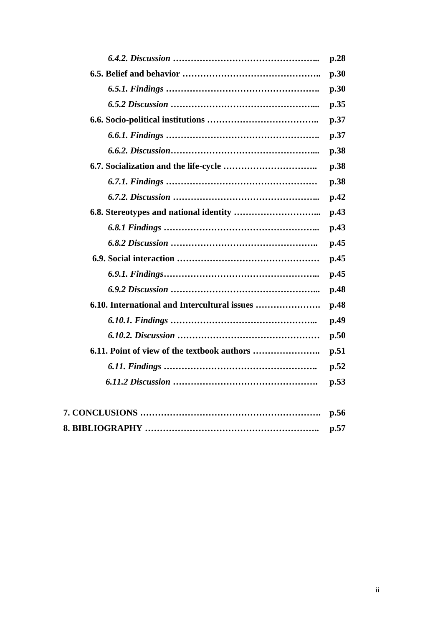| p.28 |
|------|
| p.30 |
| p.30 |
| p.35 |
| p.37 |
| p.37 |
| p.38 |
| p.38 |
| p.38 |
| p.42 |
| p.43 |
| p.43 |
| p.45 |
| p.45 |
| p.45 |
| p.48 |
| p.48 |
| p.49 |
| p.50 |
| p.51 |
| p.52 |
| p.53 |
|      |
| p.56 |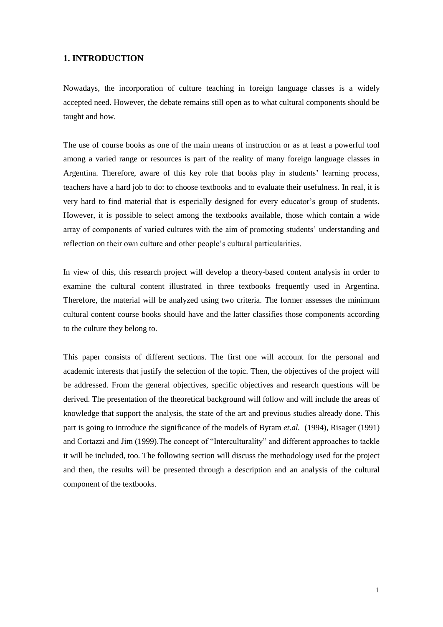## **1. INTRODUCTION**

Nowadays, the incorporation of culture teaching in foreign language classes is a widely accepted need. However, the debate remains still open as to what cultural components should be taught and how.

The use of course books as one of the main means of instruction or as at least a powerful tool among a varied range or resources is part of the reality of many foreign language classes in Argentina. Therefore, aware of this key role that books play in students' learning process, teachers have a hard job to do: to choose textbooks and to evaluate their usefulness. In real, it is very hard to find material that is especially designed for every educator's group of students. However, it is possible to select among the textbooks available, those which contain a wide array of components of varied cultures with the aim of promoting students' understanding and reflection on their own culture and other people's cultural particularities.

In view of this, this research project will develop a theory-based content analysis in order to examine the cultural content illustrated in three textbooks frequently used in Argentina. Therefore, the material will be analyzed using two criteria. The former assesses the minimum cultural content course books should have and the latter classifies those components according to the culture they belong to.

This paper consists of different sections. The first one will account for the personal and academic interests that justify the selection of the topic. Then, the objectives of the project will be addressed. From the general objectives, specific objectives and research questions will be derived. The presentation of the theoretical background will follow and will include the areas of knowledge that support the analysis, the state of the art and previous studies already done. This part is going to introduce the significance of the models of Byram *et.al.* (1994), Risager (1991) and Cortazzi and Jim (1999).The concept of "Interculturality" and different approaches to tackle it will be included, too. The following section will discuss the methodology used for the project and then, the results will be presented through a description and an analysis of the cultural component of the textbooks.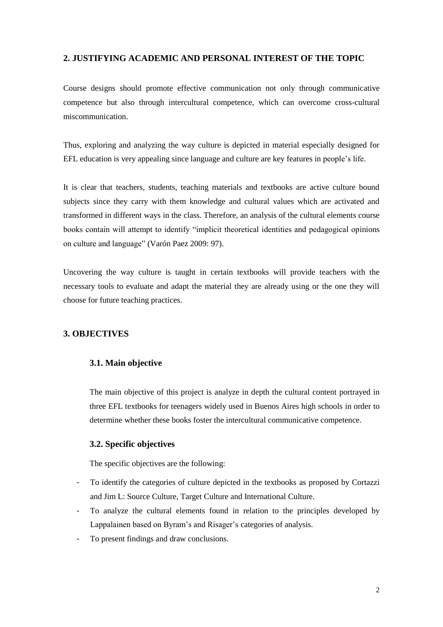## **2. JUSTIFYING ACADEMIC AND PERSONAL INTEREST OF THE TOPIC**

Course designs should promote effective communication not only through communicative competence but also through intercultural competence, which can overcome cross-cultural miscommunication.

Thus, exploring and analyzing the way culture is depicted in material especially designed for EFL education is very appealing since language and culture are key features in people's life.

It is clear that teachers, students, teaching materials and textbooks are active culture bound subjects since they carry with them knowledge and cultural values which are activated and transformed in different ways in the class. Therefore, an analysis of the cultural elements course books contain will attempt to identify "implicit theoretical identities and pedagogical opinions on culture and language" (Varón Paez 2009: 97).

Uncovering the way culture is taught in certain textbooks will provide teachers with the necessary tools to evaluate and adapt the material they are already using or the one they will choose for future teaching practices.

## **3. OBJECTIVES**

## **3.1. Main objective**

The main objective of this project is analyze in depth the cultural content portrayed in three EFL textbooks for teenagers widely used in Buenos Aires high schools in order to determine whether these books foster the intercultural communicative competence.

## **3.2. Specific objectives**

The specific objectives are the following:

- To identify the categories of culture depicted in the textbooks as proposed by Cortazzi and Jim L: Source Culture, Target Culture and International Culture.
- To analyze the cultural elements found in relation to the principles developed by Lappalainen based on Byram's and Risager's categories of analysis.
- To present findings and draw conclusions.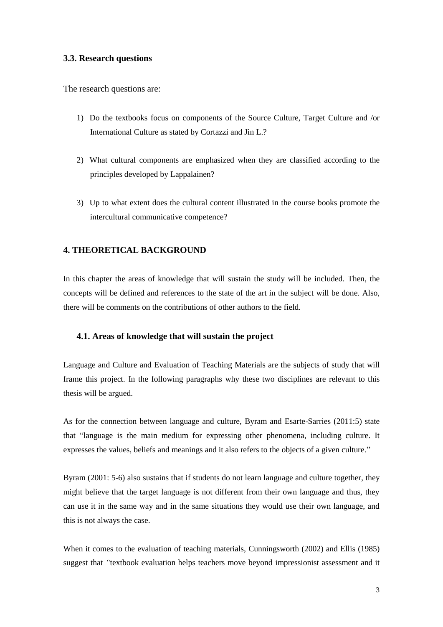## **3.3. Research questions**

The research questions are:

- 1) Do the textbooks focus on components of the Source Culture, Target Culture and /or International Culture as stated by Cortazzi and Jin L.?
- 2) What cultural components are emphasized when they are classified according to the principles developed by Lappalainen?
- 3) Up to what extent does the cultural content illustrated in the course books promote the intercultural communicative competence?

## **4. THEORETICAL BACKGROUND**

In this chapter the areas of knowledge that will sustain the study will be included. Then, the concepts will be defined and references to the state of the art in the subject will be done. Also, there will be comments on the contributions of other authors to the field.

## **4.1. Areas of knowledge that will sustain the project**

Language and Culture and Evaluation of Teaching Materials are the subjects of study that will frame this project. In the following paragraphs why these two disciplines are relevant to this thesis will be argued.

As for the connection between language and culture, Byram and Esarte-Sarries (2011:5) state that "language is the main medium for expressing other phenomena, including culture. It expresses the values, beliefs and meanings and it also refers to the objects of a given culture."

Byram (2001: 5-6) also sustains that if students do not learn language and culture together, they might believe that the target language is not different from their own language and thus, they can use it in the same way and in the same situations they would use their own language, and this is not always the case.

When it comes to the evaluation of teaching materials, Cunningsworth (2002) and Ellis (1985) suggest that *"*textbook evaluation helps teachers move beyond impressionist assessment and it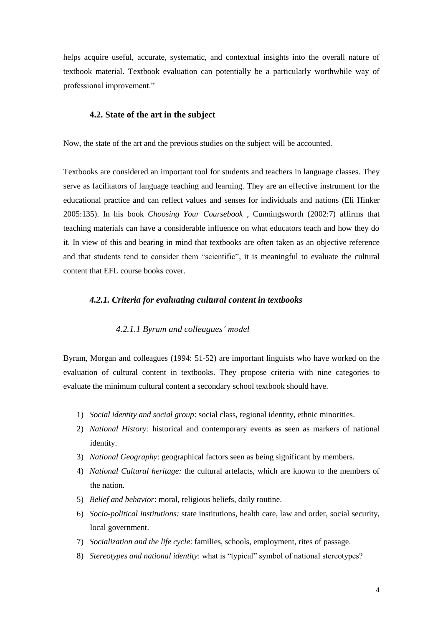helps acquire useful, accurate, systematic, and contextual insights into the overall nature of textbook material. Textbook evaluation can potentially be a particularly worthwhile way of professional improvement."

## **4.2. State of the art in the subject**

Now, the state of the art and the previous studies on the subject will be accounted.

Textbooks are considered an important tool for students and teachers in language classes. They serve as facilitators of language teaching and learning. They are an effective instrument for the educational practice and can reflect values and senses for individuals and nations (Eli Hinker 2005:135). In his book *Choosing Your Coursebook* , Cunningsworth (2002:7) affirms that teaching materials can have a considerable influence on what educators teach and how they do it. In view of this and bearing in mind that textbooks are often taken as an objective reference and that students tend to consider them "scientific", it is meaningful to evaluate the cultural content that EFL course books cover.

## *4.2.1. Criteria for evaluating cultural content in textbooks*

#### *4.2.1.1 Byram and colleagues' model*

Byram, Morgan and colleagues (1994: 51-52) are important linguists who have worked on the evaluation of cultural content in textbooks. They propose criteria with nine categories to evaluate the minimum cultural content a secondary school textbook should have.

- 1) *Social identity and social group*: social class, regional identity, ethnic minorities.
- 2) *National History:* historical and contemporary events as seen as markers of national identity.
- 3) *National Geography*: geographical factors seen as being significant by members.
- 4) *National Cultural heritage:* the cultural artefacts, which are known to the members of the nation.
- 5) *Belief and behavior*: moral, religious beliefs, daily routine.
- 6) *Socio-political institutions:* state institutions, health care, law and order, social security, local government.
- 7) *Socialization and the life cycle*: families, schools, employment, rites of passage.
- 8) *Stereotypes and national identity*: what is "typical" symbol of national stereotypes?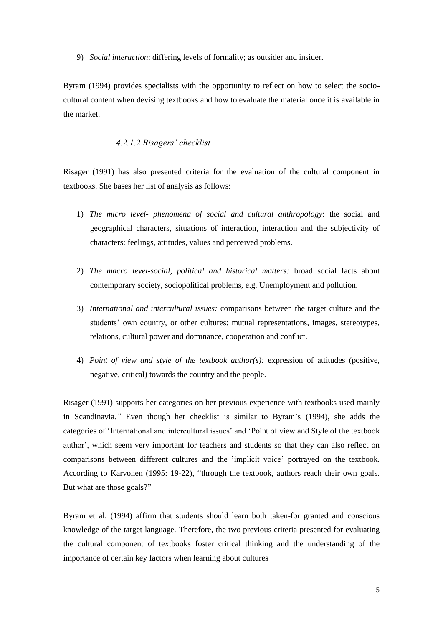9) *Social interaction*: differing levels of formality; as outsider and insider.

Byram (1994) provides specialists with the opportunity to reflect on how to select the sociocultural content when devising textbooks and how to evaluate the material once it is available in the market.

#### *4.2.1.2 Risagers' checklist*

Risager (1991) has also presented criteria for the evaluation of the cultural component in textbooks. She bases her list of analysis as follows:

- 1) *The micro level- phenomena of social and cultural anthropology*: the social and geographical characters, situations of interaction, interaction and the subjectivity of characters: feelings, attitudes, values and perceived problems.
- 2) *The macro level-social, political and historical matters:* broad social facts about contemporary society, sociopolitical problems, e.g. Unemployment and pollution.
- 3) *International and intercultural issues:* comparisons between the target culture and the students' own country, or other cultures: mutual representations, images, stereotypes, relations, cultural power and dominance, cooperation and conflict.
- 4) *Point of view and style of the textbook author(s):* expression of attitudes (positive, negative, critical) towards the country and the people.

Risager (1991) supports her categories on her previous experience with textbooks used mainly in Scandinavia*."* Even though her checklist is similar to Byram's (1994), she adds the categories of 'International and intercultural issues' and 'Point of view and Style of the textbook author', which seem very important for teachers and students so that they can also reflect on comparisons between different cultures and the 'implicit voice' portrayed on the textbook. According to Karvonen (1995: 19-22), "through the textbook, authors reach their own goals. But what are those goals?"

Byram et al. (1994) affirm that students should learn both taken-for granted and conscious knowledge of the target language. Therefore, the two previous criteria presented for evaluating the cultural component of textbooks foster critical thinking and the understanding of the importance of certain key factors when learning about cultures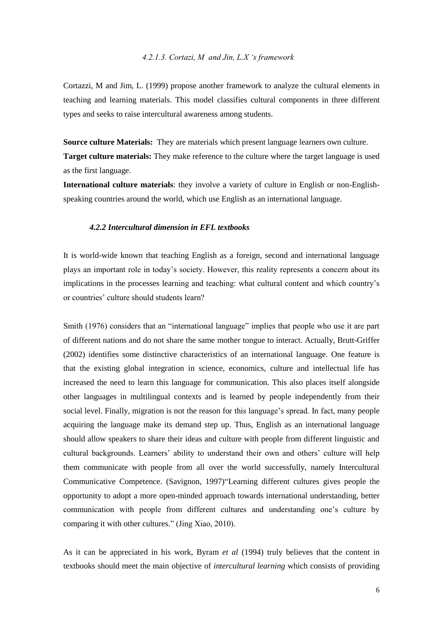#### *4.2.1.3. Cortazi, M and Jin, L.X 's framework*

Cortazzi, M and Jim, L. (1999) propose another framework to analyze the cultural elements in teaching and learning materials. This model classifies cultural components in three different types and seeks to raise intercultural awareness among students.

**Source culture Materials:** They are materials which present language learners own culture. **Target culture materials:** They make reference to the culture where the target language is used as the first language.

**International culture materials**: they involve a variety of culture in English or non-Englishspeaking countries around the world, which use English as an international language.

## *4.2.2 Intercultural dimension in EFL textbooks*

It is world-wide known that teaching English as a foreign, second and international language plays an important role in today's society. However, this reality represents a concern about its implications in the processes learning and teaching: what cultural content and which country's or countries' culture should students learn?

Smith (1976) considers that an "international language" implies that people who use it are part of different nations and do not share the same mother tongue to interact. Actually, Brutt-Griffer (2002) identifies some distinctive characteristics of an international language. One feature is that the existing global integration in science, economics, culture and intellectual life has increased the need to learn this language for communication. This also places itself alongside other languages in multilingual contexts and is learned by people independently from their social level. Finally, migration is not the reason for this language's spread. In fact, many people acquiring the language make its demand step up. Thus, English as an international language should allow speakers to share their ideas and culture with people from different linguistic and cultural backgrounds. Learners' ability to understand their own and others' culture will help them communicate with people from all over the world successfully, namely Intercultural Communicative Competence. (Savignon, 1997)"Learning different cultures gives people the opportunity to adopt a more open-minded approach towards international understanding, better communication with people from different cultures and understanding one's culture by comparing it with other cultures*.*" (Jing Xiao, 2010).

As it can be appreciated in his work, Byram *et al* (1994) truly believes that the content in textbooks should meet the main objective of *intercultural learning* which consists of providing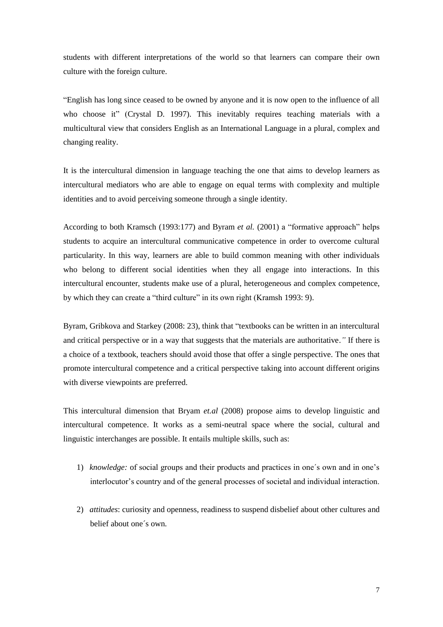students with different interpretations of the world so that learners can compare their own culture with the foreign culture.

"English has long since ceased to be owned by anyone and it is now open to the influence of all who choose it" (Crystal D. 1997). This inevitably requires teaching materials with a multicultural view that considers English as an International Language in a plural, complex and changing reality.

It is the intercultural dimension in language teaching the one that aims to develop learners as intercultural mediators who are able to engage on equal terms with complexity and multiple identities and to avoid perceiving someone through a single identity.

According to both Kramsch (1993:177) and Byram *et al.* (2001) a "formative approach" helps students to acquire an intercultural communicative competence in order to overcome cultural particularity. In this way, learners are able to build common meaning with other individuals who belong to different social identities when they all engage into interactions. In this intercultural encounter, students make use of a plural, heterogeneous and complex competence, by which they can create a "third culture" in its own right (Kramsh 1993: 9).

Byram, Gribkova and Starkey (2008: 23), think that "textbooks can be written in an intercultural and critical perspective or in a way that suggests that the materials are authoritative.*"* If there is a choice of a textbook, teachers should avoid those that offer a single perspective. The ones that promote intercultural competence and a critical perspective taking into account different origins with diverse viewpoints are preferred.

This intercultural dimension that Bryam *et.al* (2008) propose aims to develop linguistic and intercultural competence. It works as a semi-neutral space where the social, cultural and linguistic interchanges are possible. It entails multiple skills, such as:

- 1) *knowledge:* of social groups and their products and practices in one´s own and in one's interlocutor's country and of the general processes of societal and individual interaction.
- 2) *attitudes*: curiosity and openness, readiness to suspend disbelief about other cultures and belief about one´s own.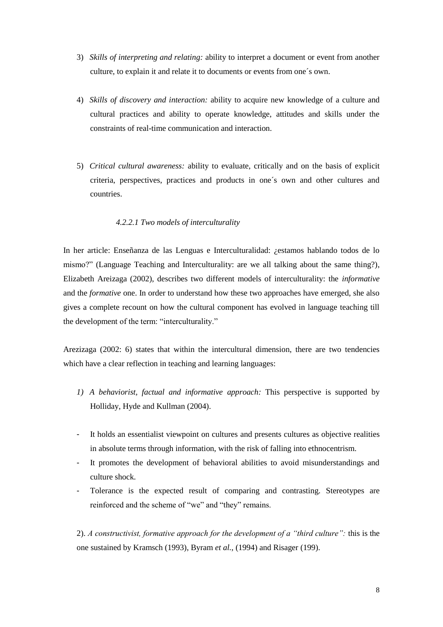- 3) *Skills of interpreting and relating:* ability to interpret a document or event from another culture, to explain it and relate it to documents or events from one´s own.
- 4) *Skills of discovery and interaction:* ability to acquire new knowledge of a culture and cultural practices and ability to operate knowledge, attitudes and skills under the constraints of real-time communication and interaction.
- 5) *Critical cultural awareness:* ability to evaluate, critically and on the basis of explicit criteria, perspectives, practices and products in one´s own and other cultures and countries.

## *4.2.2.1 Two models of interculturality*

In her article: Enseñanza de las Lenguas e Interculturalidad: ¿estamos hablando todos de lo mismo?" (Language Teaching and Interculturality: are we all talking about the same thing?), Elizabeth Areizaga (2002), describes two different models of interculturality: the *informative* and the *formative* one. In order to understand how these two approaches have emerged, she also gives a complete recount on how the cultural component has evolved in language teaching till the development of the term: "interculturality."

Arezizaga (2002: 6) states that within the intercultural dimension, there are two tendencies which have a clear reflection in teaching and learning languages:

- *1) A behaviorist, factual and informative approach:* This perspective is supported by Holliday, Hyde and Kullman (2004).
- It holds an essentialist viewpoint on cultures and presents cultures as objective realities in absolute terms through information, with the risk of falling into ethnocentrism.
- It promotes the development of behavioral abilities to avoid misunderstandings and culture shock.
- Tolerance is the expected result of comparing and contrasting. Stereotypes are reinforced and the scheme of "we" and "they" remains.

2). *A constructivist, formative approach for the development of a "third culture":* this is the one sustained by Kramsch (1993), Byram *et al.,* (1994) and Risager (199).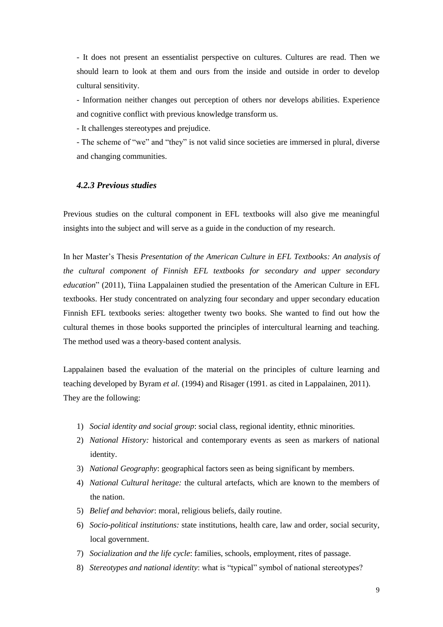- It does not present an essentialist perspective on cultures. Cultures are read. Then we should learn to look at them and ours from the inside and outside in order to develop cultural sensitivity.

- Information neither changes out perception of others nor develops abilities. Experience and cognitive conflict with previous knowledge transform us.

- It challenges stereotypes and prejudice.

- The scheme of "we" and "they" is not valid since societies are immersed in plural, diverse and changing communities.

## *4.2.3 Previous studies*

Previous studies on the cultural component in EFL textbooks will also give me meaningful insights into the subject and will serve as a guide in the conduction of my research.

In her Master's Thesis *Presentation of the American Culture in EFL Textbooks: An analysis of the cultural component of Finnish EFL textbooks for secondary and upper secondary education*" (2011), Tiina Lappalainen studied the presentation of the American Culture in EFL textbooks. Her study concentrated on analyzing four secondary and upper secondary education Finnish EFL textbooks series: altogether twenty two books. She wanted to find out how the cultural themes in those books supported the principles of intercultural learning and teaching. The method used was a theory-based content analysis.

Lappalainen based the evaluation of the material on the principles of culture learning and teaching developed by Byram *et al.* (1994) and Risager (1991. as cited in Lappalainen, 2011). They are the following:

- 1) *Social identity and social group*: social class, regional identity, ethnic minorities.
- 2) *National History:* historical and contemporary events as seen as markers of national identity.
- 3) *National Geography*: geographical factors seen as being significant by members.
- 4) *National Cultural heritage:* the cultural artefacts, which are known to the members of the nation.
- 5) *Belief and behavior*: moral, religious beliefs, daily routine.
- 6) *Socio-political institutions:* state institutions, health care, law and order, social security, local government.
- 7) *Socialization and the life cycle*: families, schools, employment, rites of passage.
- 8) *Stereotypes and national identity*: what is "typical" symbol of national stereotypes?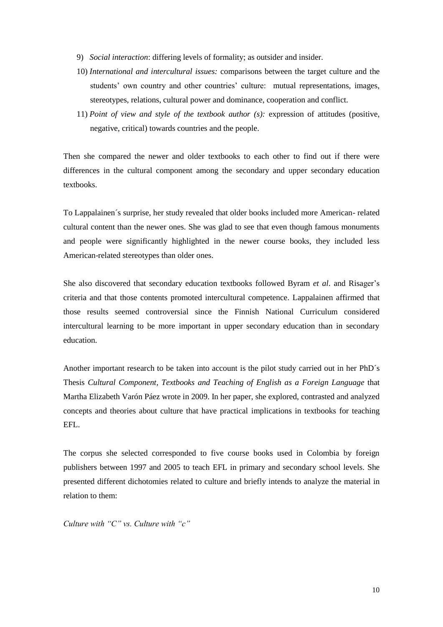- 9) *Social interaction*: differing levels of formality; as outsider and insider.
- 10) *International and intercultural issues:* comparisons between the target culture and the students' own country and other countries' culture: mutual representations, images, stereotypes, relations, cultural power and dominance, cooperation and conflict.
- 11) *Point of view and style of the textbook author (s):* expression of attitudes (positive, negative, critical) towards countries and the people.

Then she compared the newer and older textbooks to each other to find out if there were differences in the cultural component among the secondary and upper secondary education textbooks.

To Lappalainen´s surprise, her study revealed that older books included more American- related cultural content than the newer ones. She was glad to see that even though famous monuments and people were significantly highlighted in the newer course books, they included less American-related stereotypes than older ones.

She also discovered that secondary education textbooks followed Byram *et al*. and Risager's criteria and that those contents promoted intercultural competence. Lappalainen affirmed that those results seemed controversial since the Finnish National Curriculum considered intercultural learning to be more important in upper secondary education than in secondary education.

Another important research to be taken into account is the pilot study carried out in her PhD´s Thesis *Cultural Component, Textbooks and Teaching of English as a Foreign Language* that Martha Elizabeth Varón Páez wrote in 2009. In her paper, she explored, contrasted and analyzed concepts and theories about culture that have practical implications in textbooks for teaching EFL.

The corpus she selected corresponded to five course books used in Colombia by foreign publishers between 1997 and 2005 to teach EFL in primary and secondary school levels. She presented different dichotomies related to culture and briefly intends to analyze the material in relation to them:

*Culture with "C" vs. Culture with "c"*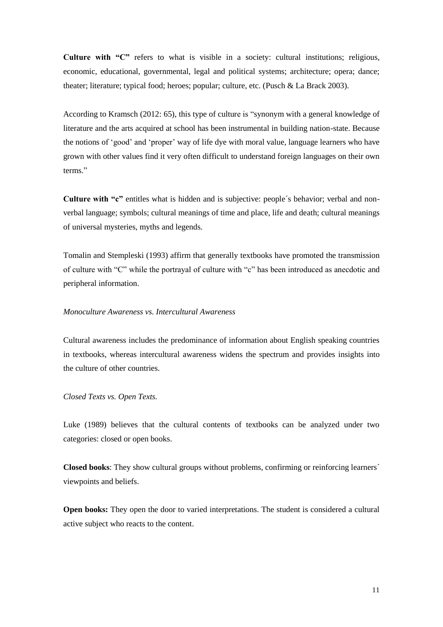**Culture with "C"** refers to what is visible in a society: cultural institutions; religious, economic, educational, governmental, legal and political systems; architecture; opera; dance; theater; literature; typical food; heroes; popular; culture, etc. (Pusch & La Brack 2003).

According to Kramsch (2012: 65), this type of culture is "synonym with a general knowledge of literature and the arts acquired at school has been instrumental in building nation-state. Because the notions of 'good' and 'proper' way of life dye with moral value, language learners who have grown with other values find it very often difficult to understand foreign languages on their own terms."

**Culture with "c"** entitles what is hidden and is subjective: people´s behavior; verbal and nonverbal language; symbols; cultural meanings of time and place, life and death; cultural meanings of universal mysteries, myths and legends.

Tomalin and Stempleski (1993) affirm that generally textbooks have promoted the transmission of culture with "C" while the portrayal of culture with "c" has been introduced as anecdotic and peripheral information.

#### *Monoculture Awareness vs. Intercultural Awareness*

Cultural awareness includes the predominance of information about English speaking countries in textbooks, whereas intercultural awareness widens the spectrum and provides insights into the culture of other countries.

#### *Closed Texts vs. Open Texts.*

Luke (1989) believes that the cultural contents of textbooks can be analyzed under two categories: closed or open books.

**Closed books**: They show cultural groups without problems, confirming or reinforcing learners´ viewpoints and beliefs.

**Open books:** They open the door to varied interpretations. The student is considered a cultural active subject who reacts to the content.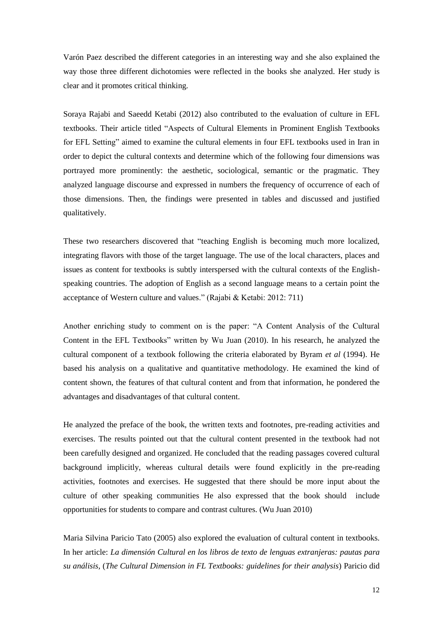Varón Paez described the different categories in an interesting way and she also explained the way those three different dichotomies were reflected in the books she analyzed. Her study is clear and it promotes critical thinking.

Soraya Rajabi and Saeedd Ketabi (2012) also contributed to the evaluation of culture in EFL textbooks. Their article titled "Aspects of Cultural Elements in Prominent English Textbooks for EFL Setting" aimed to examine the cultural elements in four EFL textbooks used in Iran in order to depict the cultural contexts and determine which of the following four dimensions was portrayed more prominently: the aesthetic, sociological, semantic or the pragmatic. They analyzed language discourse and expressed in numbers the frequency of occurrence of each of those dimensions. Then, the findings were presented in tables and discussed and justified qualitatively.

These two researchers discovered that "teaching English is becoming much more localized, integrating flavors with those of the target language. The use of the local characters, places and issues as content for textbooks is subtly interspersed with the cultural contexts of the Englishspeaking countries. The adoption of English as a second language means to a certain point the acceptance of Western culture and values." (Rajabi & Ketabi: 2012: 711)

Another enriching study to comment on is the paper: "A Content Analysis of the Cultural Content in the EFL Textbooks" written by Wu Juan (2010). In his research, he analyzed the cultural component of a textbook following the criteria elaborated by Byram *et al* (1994). He based his analysis on a qualitative and quantitative methodology. He examined the kind of content shown, the features of that cultural content and from that information, he pondered the advantages and disadvantages of that cultural content.

He analyzed the preface of the book, the written texts and footnotes, pre-reading activities and exercises. The results pointed out that the cultural content presented in the textbook had not been carefully designed and organized. He concluded that the reading passages covered cultural background implicitly, whereas cultural details were found explicitly in the pre-reading activities, footnotes and exercises. He suggested that there should be more input about the culture of other speaking communities He also expressed that the book should include opportunities for students to compare and contrast cultures. (Wu Juan 2010)

Maria Silvina Paricio Tato (2005) also explored the evaluation of cultural content in textbooks. In her article: *La dimensión Cultural en los libros de texto de lenguas extranjeras: pautas para su análisis,* (*The Cultural Dimension in FL Textbooks: guidelines for their analysis*) Paricio did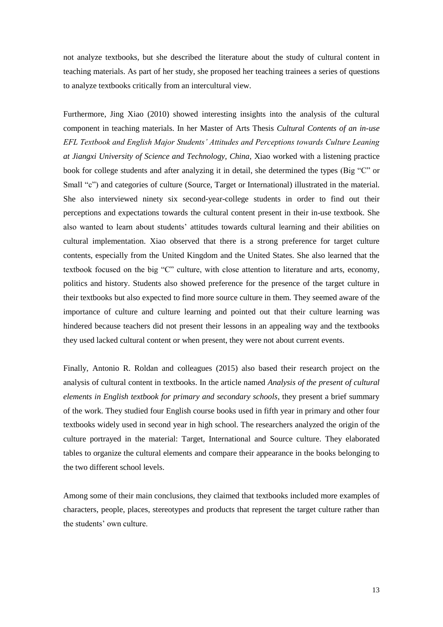not analyze textbooks, but she described the literature about the study of cultural content in teaching materials. As part of her study, she proposed her teaching trainees a series of questions to analyze textbooks critically from an intercultural view.

Furthermore, Jing Xiao (2010) showed interesting insights into the analysis of the cultural component in teaching materials. In her Master of Arts Thesis *Cultural Contents of an in-use EFL Textbook and English Major Students' Attitudes and Perceptions towards Culture Leaning at Jiangxi University of Science and Technology, China,* Xiao worked with a listening practice book for college students and after analyzing it in detail, she determined the types (Big "C" or Small "c") and categories of culture (Source, Target or International) illustrated in the material. She also interviewed ninety six second-year-college students in order to find out their perceptions and expectations towards the cultural content present in their in-use textbook. She also wanted to learn about students' attitudes towards cultural learning and their abilities on cultural implementation. Xiao observed that there is a strong preference for target culture contents, especially from the United Kingdom and the United States. She also learned that the textbook focused on the big "C" culture, with close attention to literature and arts, economy, politics and history. Students also showed preference for the presence of the target culture in their textbooks but also expected to find more source culture in them. They seemed aware of the importance of culture and culture learning and pointed out that their culture learning was hindered because teachers did not present their lessons in an appealing way and the textbooks they used lacked cultural content or when present, they were not about current events.

Finally, Antonio R. Roldan and colleagues (2015) also based their research project on the analysis of cultural content in textbooks. In the article named *Analysis of the present of cultural elements in English textbook for primary and secondary schools*, they present a brief summary of the work. They studied four English course books used in fifth year in primary and other four textbooks widely used in second year in high school. The researchers analyzed the origin of the culture portrayed in the material: Target, International and Source culture. They elaborated tables to organize the cultural elements and compare their appearance in the books belonging to the two different school levels.

Among some of their main conclusions, they claimed that textbooks included more examples of characters, people, places, stereotypes and products that represent the target culture rather than the students' own culture.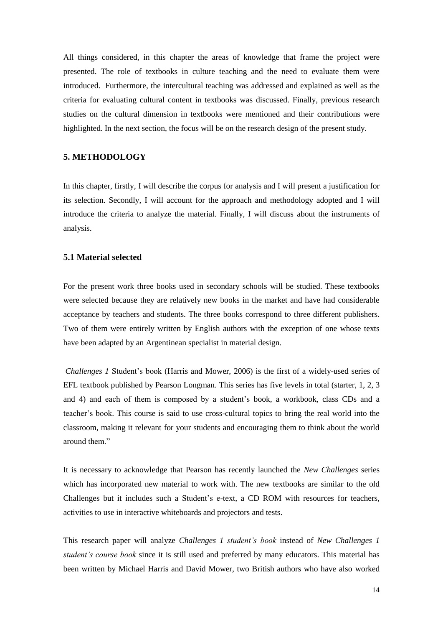All things considered, in this chapter the areas of knowledge that frame the project were presented. The role of textbooks in culture teaching and the need to evaluate them were introduced. Furthermore, the intercultural teaching was addressed and explained as well as the criteria for evaluating cultural content in textbooks was discussed. Finally, previous research studies on the cultural dimension in textbooks were mentioned and their contributions were highlighted. In the next section, the focus will be on the research design of the present study.

## **5. METHODOLOGY**

In this chapter, firstly, I will describe the corpus for analysis and I will present a justification for its selection. Secondly, I will account for the approach and methodology adopted and I will introduce the criteria to analyze the material. Finally, I will discuss about the instruments of analysis.

## **5.1 Material selected**

For the present work three books used in secondary schools will be studied. These textbooks were selected because they are relatively new books in the market and have had considerable acceptance by teachers and students. The three books correspond to three different publishers. Two of them were entirely written by English authors with the exception of one whose texts have been adapted by an Argentinean specialist in material design.

*Challenges 1* Student's book (Harris and Mower, 2006) is the first of a widely-used series of EFL textbook published by Pearson Longman. This series has five levels in total (starter, 1, 2, 3 and 4) and each of them is composed by a student's book, a workbook, class CDs and a teacher's book. This course is said to use cross-cultural topics to bring the real world into the classroom, making it relevant for your students and encouraging them to think about the world around them<sup>"</sup>

It is necessary to acknowledge that Pearson has recently launched the *New Challenges* series which has incorporated new material to work with. The new textbooks are similar to the old Challenges but it includes such a Student's e-text, a CD ROM with resources for teachers, activities to use in interactive whiteboards and projectors and tests.

This research paper will analyze *Challenges 1 student's book* instead of *New Challenges 1 student's course book* since it is still used and preferred by many educators. This material has been written by Michael Harris and David Mower, two British authors who have also worked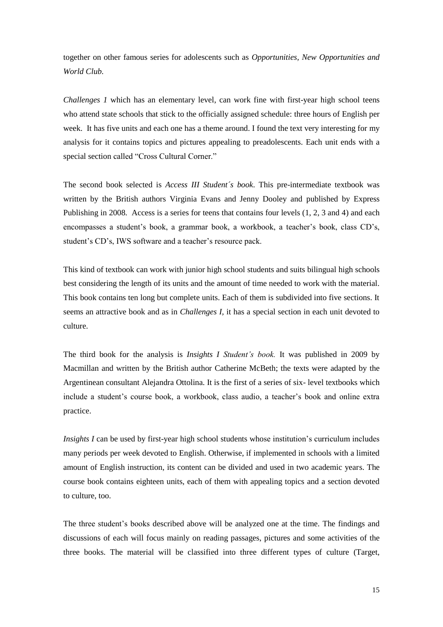together on other famous series for adolescents such as *Opportunities, New Opportunities and World Club.* 

*Challenges 1* which has an elementary level, can work fine with first-year high school teens who attend state schools that stick to the officially assigned schedule: three hours of English per week. It has five units and each one has a theme around. I found the text very interesting for my analysis for it contains topics and pictures appealing to preadolescents. Each unit ends with a special section called "Cross Cultural Corner."

The second book selected is *Access III Student´s book*. This pre-intermediate textbook was written by the British authors Virginia Evans and Jenny Dooley and published by Express Publishing in 2008. Access is a series for teens that contains four levels (1, 2, 3 and 4) and each encompasses a student's book, a grammar book, a workbook, a teacher's book, class CD's, student's CD's, IWS software and a teacher's resource pack.

This kind of textbook can work with junior high school students and suits bilingual high schools best considering the length of its units and the amount of time needed to work with the material. This book contains ten long but complete units. Each of them is subdivided into five sections. It seems an attractive book and as in *Challenges I,* it has a special section in each unit devoted to culture.

The third book for the analysis is *Insights I Student's book.* It was published in 2009 by Macmillan and written by the British author Catherine McBeth; the texts were adapted by the Argentinean consultant Alejandra Ottolina. It is the first of a series of six- level textbooks which include a student's course book, a workbook, class audio, a teacher's book and online extra practice.

*Insights I* can be used by first-year high school students whose institution's curriculum includes many periods per week devoted to English. Otherwise, if implemented in schools with a limited amount of English instruction, its content can be divided and used in two academic years. The course book contains eighteen units, each of them with appealing topics and a section devoted to culture, too.

The three student's books described above will be analyzed one at the time. The findings and discussions of each will focus mainly on reading passages, pictures and some activities of the three books. The material will be classified into three different types of culture (Target,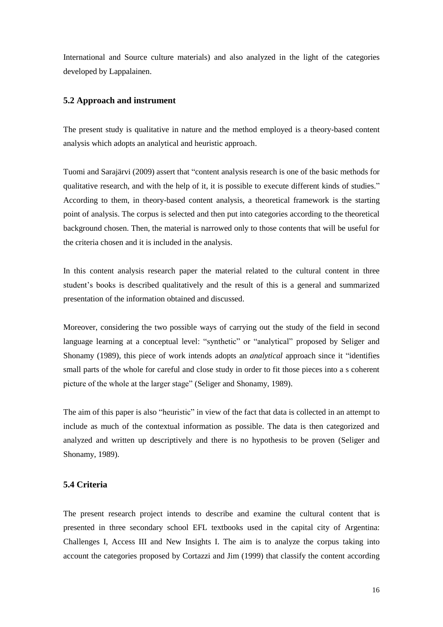International and Source culture materials) and also analyzed in the light of the categories developed by Lappalainen.

## **5.2 Approach and instrument**

The present study is qualitative in nature and the method employed is a theory-based content analysis which adopts an analytical and heuristic approach.

Tuomi and Sarajärvi (2009) assert that "content analysis research is one of the basic methods for qualitative research, and with the help of it, it is possible to execute different kinds of studies." According to them, in theory-based content analysis, a theoretical framework is the starting point of analysis. The corpus is selected and then put into categories according to the theoretical background chosen. Then, the material is narrowed only to those contents that will be useful for the criteria chosen and it is included in the analysis.

In this content analysis research paper the material related to the cultural content in three student's books is described qualitatively and the result of this is a general and summarized presentation of the information obtained and discussed.

Moreover, considering the two possible ways of carrying out the study of the field in second language learning at a conceptual level: "synthetic" or "analytical" proposed by Seliger and Shonamy (1989), this piece of work intends adopts an *analytical* approach since it "identifies small parts of the whole for careful and close study in order to fit those pieces into a s coherent picture of the whole at the larger stage" (Seliger and Shonamy, 1989).

The aim of this paper is also "heuristic" in view of the fact that data is collected in an attempt to include as much of the contextual information as possible. The data is then categorized and analyzed and written up descriptively and there is no hypothesis to be proven (Seliger and Shonamy, 1989).

## **5.4 Criteria**

The present research project intends to describe and examine the cultural content that is presented in three secondary school EFL textbooks used in the capital city of Argentina: Challenges I, Access III and New Insights I. The aim is to analyze the corpus taking into account the categories proposed by Cortazzi and Jim (1999) that classify the content according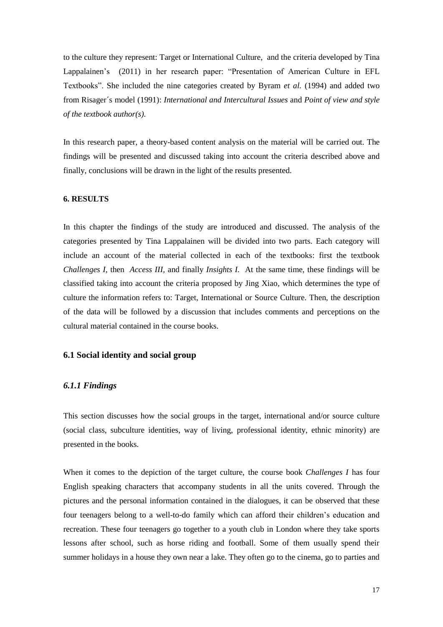to the culture they represent: Target or International Culture, and the criteria developed by Tina Lappalainen's (2011) in her research paper: "Presentation of American Culture in EFL Textbooks". She included the nine categories created by Byram *et al.* (1994) and added two from Risager´s model (1991): *International and Intercultural Issues* and *Point of view and style of the textbook author(s).*

In this research paper, a theory-based content analysis on the material will be carried out. The findings will be presented and discussed taking into account the criteria described above and finally, conclusions will be drawn in the light of the results presented.

#### **6. RESULTS**

In this chapter the findings of the study are introduced and discussed. The analysis of the categories presented by Tina Lappalainen will be divided into two parts. Each category will include an account of the material collected in each of the textbooks: first the textbook *Challenges I,* then *Access III,* and finally *Insights I.* At the same time, these findings will be classified taking into account the criteria proposed by Jing Xiao, which determines the type of culture the information refers to: Target, International or Source Culture. Then, the description of the data will be followed by a discussion that includes comments and perceptions on the cultural material contained in the course books.

## **6.1 Social identity and social group**

#### *6.1.1 Findings*

This section discusses how the social groups in the target, international and/or source culture (social class, subculture identities, way of living, professional identity, ethnic minority) are presented in the books.

When it comes to the depiction of the target culture, the course book *Challenges I* has four English speaking characters that accompany students in all the units covered. Through the pictures and the personal information contained in the dialogues, it can be observed that these four teenagers belong to a well-to-do family which can afford their children's education and recreation. These four teenagers go together to a youth club in London where they take sports lessons after school, such as horse riding and football. Some of them usually spend their summer holidays in a house they own near a lake. They often go to the cinema, go to parties and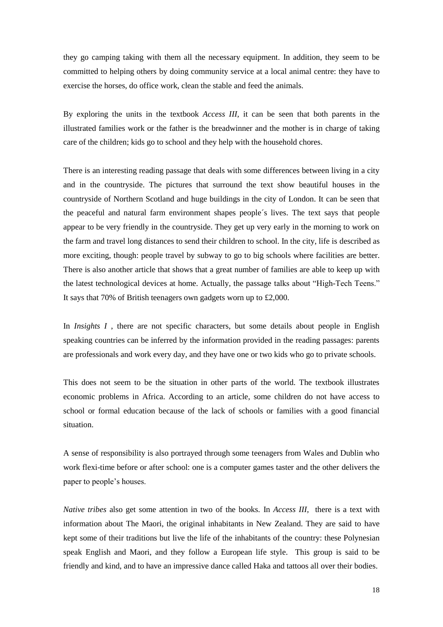they go camping taking with them all the necessary equipment. In addition, they seem to be committed to helping others by doing community service at a local animal centre: they have to exercise the horses, do office work, clean the stable and feed the animals.

By exploring the units in the textbook *Access III,* it can be seen that both parents in the illustrated families work or the father is the breadwinner and the mother is in charge of taking care of the children; kids go to school and they help with the household chores.

There is an interesting reading passage that deals with some differences between living in a city and in the countryside. The pictures that surround the text show beautiful houses in the countryside of Northern Scotland and huge buildings in the city of London. It can be seen that the peaceful and natural farm environment shapes people´s lives. The text says that people appear to be very friendly in the countryside. They get up very early in the morning to work on the farm and travel long distances to send their children to school. In the city, life is described as more exciting, though: people travel by subway to go to big schools where facilities are better. There is also another article that shows that a great number of families are able to keep up with the latest technological devices at home. Actually, the passage talks about "High-Tech Teens." It says that 70% of British teenagers own gadgets worn up to £2,000.

In *Insights I* , there are not specific characters, but some details about people in English speaking countries can be inferred by the information provided in the reading passages: parents are professionals and work every day, and they have one or two kids who go to private schools.

This does not seem to be the situation in other parts of the world. The textbook illustrates economic problems in Africa. According to an article, some children do not have access to school or formal education because of the lack of schools or families with a good financial situation.

A sense of responsibility is also portrayed through some teenagers from Wales and Dublin who work flexi-time before or after school: one is a computer games taster and the other delivers the paper to people's houses.

*Native tribes* also get some attention in two of the books. In *Access III,* there is a text with information about The Maori, the original inhabitants in New Zealand. They are said to have kept some of their traditions but live the life of the inhabitants of the country: these Polynesian speak English and Maori, and they follow a European life style. This group is said to be friendly and kind, and to have an impressive dance called Haka and tattoos all over their bodies.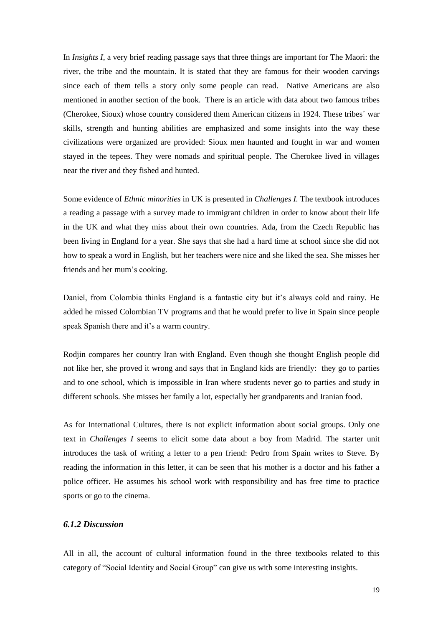In *Insights I*, a very brief reading passage says that three things are important for The Maori: the river, the tribe and the mountain. It is stated that they are famous for their wooden carvings since each of them tells a story only some people can read. Native Americans are also mentioned in another section of the book. There is an article with data about two famous tribes (Cherokee, Sioux) whose country considered them American citizens in 1924. These tribes´ war skills, strength and hunting abilities are emphasized and some insights into the way these civilizations were organized are provided: Sioux men haunted and fought in war and women stayed in the tepees. They were nomads and spiritual people. The Cherokee lived in villages near the river and they fished and hunted.

Some evidence of *Ethnic minorities* in UK is presented in *Challenges I.* The textbook introduces a reading a passage with a survey made to immigrant children in order to know about their life in the UK and what they miss about their own countries. Ada, from the Czech Republic has been living in England for a year. She says that she had a hard time at school since she did not how to speak a word in English, but her teachers were nice and she liked the sea. She misses her friends and her mum's cooking.

Daniel, from Colombia thinks England is a fantastic city but it's always cold and rainy. He added he missed Colombian TV programs and that he would prefer to live in Spain since people speak Spanish there and it's a warm country.

Rodjin compares her country Iran with England. Even though she thought English people did not like her, she proved it wrong and says that in England kids are friendly: they go to parties and to one school, which is impossible in Iran where students never go to parties and study in different schools. She misses her family a lot, especially her grandparents and Iranian food.

As for International Cultures, there is not explicit information about social groups. Only one text in *Challenges I* seems to elicit some data about a boy from Madrid. The starter unit introduces the task of writing a letter to a pen friend: Pedro from Spain writes to Steve. By reading the information in this letter, it can be seen that his mother is a doctor and his father a police officer. He assumes his school work with responsibility and has free time to practice sports or go to the cinema.

## *6.1.2 Discussion*

All in all, the account of cultural information found in the three textbooks related to this category of "Social Identity and Social Group" can give us with some interesting insights.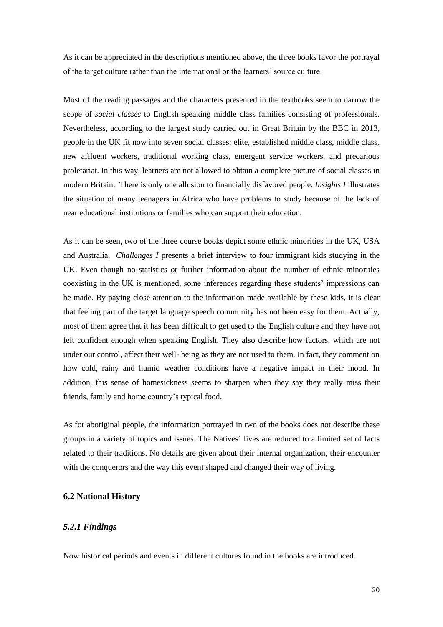As it can be appreciated in the descriptions mentioned above, the three books favor the portrayal of the target culture rather than the international or the learners' source culture.

Most of the reading passages and the characters presented in the textbooks seem to narrow the scope of *social classes* to English speaking middle class families consisting of professionals. Nevertheless, according to the largest study carried out in Great Britain by the BBC in 2013, people in the UK fit now into seven social classes: elite, established middle class, middle class, new affluent workers, traditional working class, emergent service workers, and precarious proletariat. In this way, learners are not allowed to obtain a complete picture of social classes in modern Britain. There is only one allusion to financially disfavored people. *Insights I* illustrates the situation of many teenagers in Africa who have problems to study because of the lack of near educational institutions or families who can support their education.

As it can be seen, two of the three course books depict some ethnic minorities in the UK, USA and Australia. *Challenges I* presents a brief interview to four immigrant kids studying in the UK. Even though no statistics or further information about the number of ethnic minorities coexisting in the UK is mentioned, some inferences regarding these students' impressions can be made. By paying close attention to the information made available by these kids, it is clear that feeling part of the target language speech community has not been easy for them. Actually, most of them agree that it has been difficult to get used to the English culture and they have not felt confident enough when speaking English. They also describe how factors, which are not under our control, affect their well- being as they are not used to them. In fact, they comment on how cold, rainy and humid weather conditions have a negative impact in their mood. In addition, this sense of homesickness seems to sharpen when they say they really miss their friends, family and home country's typical food.

As for aboriginal people, the information portrayed in two of the books does not describe these groups in a variety of topics and issues. The Natives' lives are reduced to a limited set of facts related to their traditions. No details are given about their internal organization, their encounter with the conquerors and the way this event shaped and changed their way of living.

## **6.2 National History**

## *5.2.1 Findings*

Now historical periods and events in different cultures found in the books are introduced.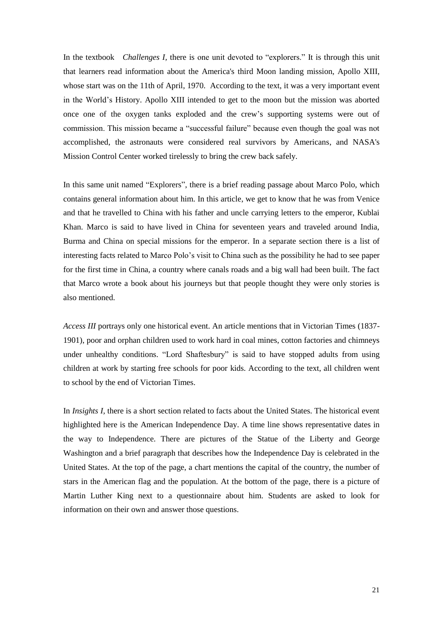In the textbook *Challenges I,* there is one unit devoted to "explorers." It is through this unit that learners read information about the America's third Moon landing mission, Apollo XIII, whose start was on the 11th of April, 1970. According to the text, it was a very important event in the World's History. Apollo XIII intended to get to the moon but the mission was aborted once one of the oxygen tanks exploded and the crew's supporting systems were out of commission. This mission became a "successful failure" because even though the goal was not accomplished, the astronauts were considered real survivors by Americans, and NASA's Mission Control Center worked tirelessly to bring the crew back safely.

In this same unit named "Explorers", there is a brief reading passage about Marco Polo, which contains general information about him. In this article, we get to know that he was from Venice and that he travelled to China with his father and uncle carrying letters to the emperor, Kublai Khan. Marco is said to have lived in China for seventeen years and traveled around India, Burma and China on special missions for the emperor. In a separate section there is a list of interesting facts related to Marco Polo's visit to China such as the possibility he had to see paper for the first time in China, a country where canals roads and a big wall had been built. The fact that Marco wrote a book about his journeys but that people thought they were only stories is also mentioned.

*Access III* portrays only one historical event. An article mentions that in Victorian Times (1837- 1901), poor and orphan children used to work hard in coal mines, cotton factories and chimneys under unhealthy conditions. "Lord Shaftesbury" is said to have stopped adults from using children at work by starting free schools for poor kids. According to the text, all children went to school by the end of Victorian Times.

In *Insights I,* there is a short section related to facts about the United States. The historical event highlighted here is the American Independence Day. A time line shows representative dates in the way to Independence. There are pictures of the Statue of the Liberty and George Washington and a brief paragraph that describes how the Independence Day is celebrated in the United States. At the top of the page, a chart mentions the capital of the country, the number of stars in the American flag and the population. At the bottom of the page, there is a picture of Martin Luther King next to a questionnaire about him. Students are asked to look for information on their own and answer those questions.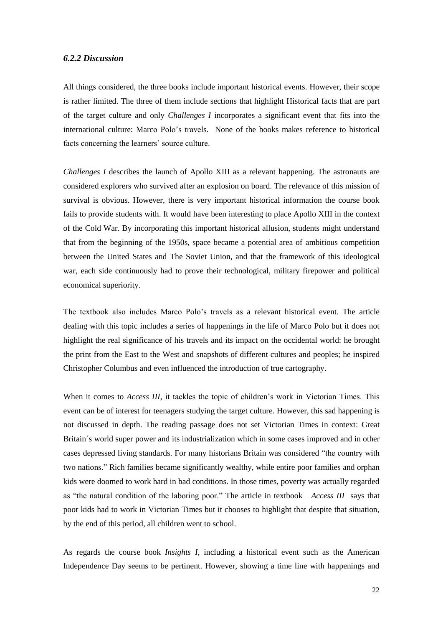## *6.2.2 Discussion*

All things considered, the three books include important historical events. However, their scope is rather limited. The three of them include sections that highlight Historical facts that are part of the target culture and only *Challenges I* incorporates a significant event that fits into the international culture: Marco Polo's travels. None of the books makes reference to historical facts concerning the learners' source culture.

*Challenges I* describes the launch of Apollo XIII as a relevant happening. The astronauts are considered explorers who survived after an explosion on board. The relevance of this mission of survival is obvious. However, there is very important historical information the course book fails to provide students with. It would have been interesting to place Apollo XIII in the context of the Cold War. By incorporating this important historical allusion, students might understand that from the beginning of the 1950s, space became a potential area of ambitious competition between the United States and The Soviet Union, and that the framework of this ideological war, each side continuously had to prove their technological, military firepower and political economical superiority.

The textbook also includes Marco Polo's travels as a relevant historical event. The article dealing with this topic includes a series of happenings in the life of Marco Polo but it does not highlight the real significance of his travels and its impact on the occidental world: he brought the print from the East to the West and snapshots of different cultures and peoples; he inspired Christopher Columbus and even influenced the introduction of true cartography.

When it comes to *Access III*, it tackles the topic of children's work in Victorian Times. This event can be of interest for teenagers studying the target culture. However, this sad happening is not discussed in depth. The reading passage does not set Victorian Times in context: Great Britain´s world super power and its industrialization which in some cases improved and in other cases depressed living standards. For many historians Britain was considered "the country with two nations." Rich families became significantly wealthy, while entire poor families and orphan kids were doomed to work hard in bad conditions. In those times, poverty was actually regarded as "the natural condition of the laboring poor." The article in textbook *Access III* says that poor kids had to work in Victorian Times but it chooses to highlight that despite that situation, by the end of this period, all children went to school.

As regards the course book *Insights I,* including a historical event such as the American Independence Day seems to be pertinent. However, showing a time line with happenings and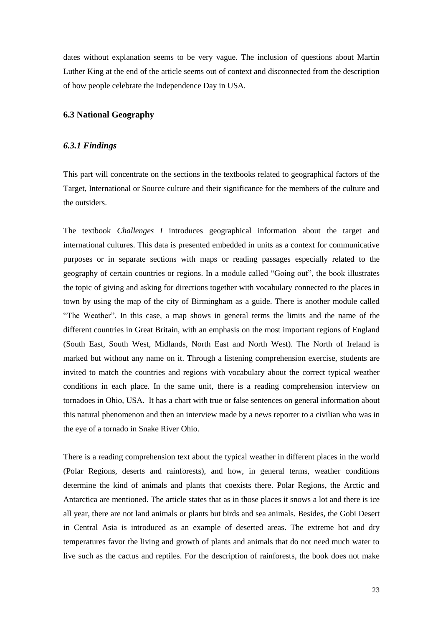dates without explanation seems to be very vague. The inclusion of questions about Martin Luther King at the end of the article seems out of context and disconnected from the description of how people celebrate the Independence Day in USA.

#### **6.3 National Geography**

## *6.3.1 Findings*

This part will concentrate on the sections in the textbooks related to geographical factors of the Target, International or Source culture and their significance for the members of the culture and the outsiders.

The textbook *Challenges I* introduces geographical information about the target and international cultures. This data is presented embedded in units as a context for communicative purposes or in separate sections with maps or reading passages especially related to the geography of certain countries or regions. In a module called "Going out", the book illustrates the topic of giving and asking for directions together with vocabulary connected to the places in town by using the map of the city of Birmingham as a guide. There is another module called "The Weather". In this case, a map shows in general terms the limits and the name of the different countries in Great Britain, with an emphasis on the most important regions of England (South East, South West, Midlands, North East and North West). The North of Ireland is marked but without any name on it. Through a listening comprehension exercise, students are invited to match the countries and regions with vocabulary about the correct typical weather conditions in each place. In the same unit, there is a reading comprehension interview on tornadoes in Ohio, USA. It has a chart with true or false sentences on general information about this natural phenomenon and then an interview made by a news reporter to a civilian who was in the eye of a tornado in Snake River Ohio.

There is a reading comprehension text about the typical weather in different places in the world (Polar Regions, deserts and rainforests), and how, in general terms, weather conditions determine the kind of animals and plants that coexists there. Polar Regions, the Arctic and Antarctica are mentioned. The article states that as in those places it snows a lot and there is ice all year, there are not land animals or plants but birds and sea animals. Besides, the Gobi Desert in Central Asia is introduced as an example of deserted areas. The extreme hot and dry temperatures favor the living and growth of plants and animals that do not need much water to live such as the cactus and reptiles. For the description of rainforests, the book does not make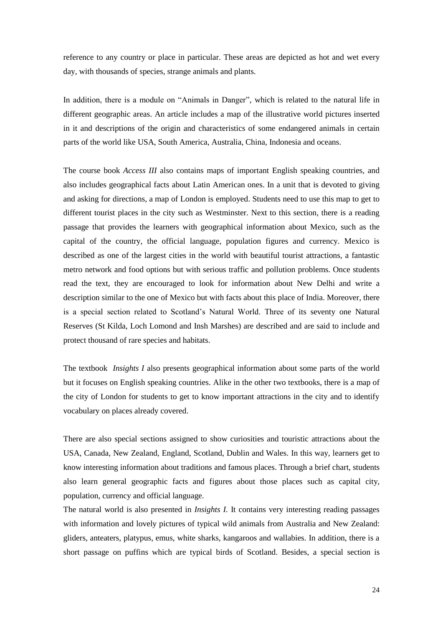reference to any country or place in particular. These areas are depicted as hot and wet every day, with thousands of species, strange animals and plants.

In addition, there is a module on "Animals in Danger", which is related to the natural life in different geographic areas. An article includes a map of the illustrative world pictures inserted in it and descriptions of the origin and characteristics of some endangered animals in certain parts of the world like USA, South America, Australia, China, Indonesia and oceans.

The course book *Access III* also contains maps of important English speaking countries, and also includes geographical facts about Latin American ones. In a unit that is devoted to giving and asking for directions, a map of London is employed. Students need to use this map to get to different tourist places in the city such as Westminster. Next to this section, there is a reading passage that provides the learners with geographical information about Mexico, such as the capital of the country, the official language, population figures and currency. Mexico is described as one of the largest cities in the world with beautiful tourist attractions, a fantastic metro network and food options but with serious traffic and pollution problems. Once students read the text, they are encouraged to look for information about New Delhi and write a description similar to the one of Mexico but with facts about this place of India. Moreover, there is a special section related to Scotland's Natural World. Three of its seventy one Natural Reserves (St Kilda, Loch Lomond and Insh Marshes) are described and are said to include and protect thousand of rare species and habitats.

The textbook *Insights I* also presents geographical information about some parts of the world but it focuses on English speaking countries. Alike in the other two textbooks, there is a map of the city of London for students to get to know important attractions in the city and to identify vocabulary on places already covered.

There are also special sections assigned to show curiosities and touristic attractions about the USA, Canada, New Zealand, England, Scotland, Dublin and Wales. In this way, learners get to know interesting information about traditions and famous places. Through a brief chart, students also learn general geographic facts and figures about those places such as capital city, population, currency and official language.

The natural world is also presented in *Insights I.* It contains very interesting reading passages with information and lovely pictures of typical wild animals from Australia and New Zealand: gliders, anteaters, platypus, emus, white sharks, kangaroos and wallabies. In addition, there is a short passage on puffins which are typical birds of Scotland. Besides, a special section is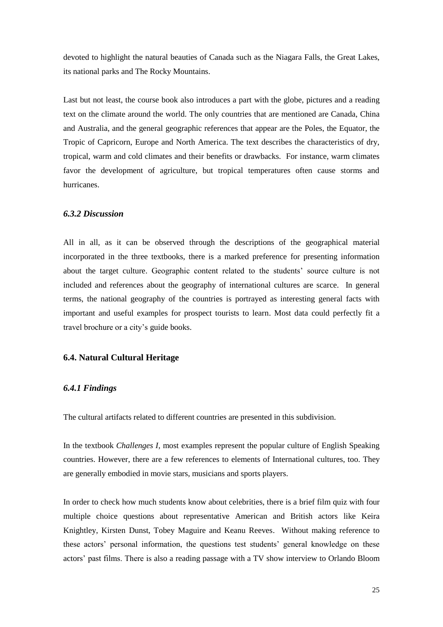devoted to highlight the natural beauties of Canada such as the Niagara Falls, the Great Lakes, its national parks and The Rocky Mountains.

Last but not least, the course book also introduces a part with the globe, pictures and a reading text on the climate around the world. The only countries that are mentioned are Canada, China and Australia, and the general geographic references that appear are the Poles, the Equator, the Tropic of Capricorn, Europe and North America. The text describes the characteristics of dry, tropical, warm and cold climates and their benefits or drawbacks. For instance, warm climates favor the development of agriculture, but tropical temperatures often cause storms and hurricanes.

#### *6.3.2 Discussion*

All in all, as it can be observed through the descriptions of the geographical material incorporated in the three textbooks, there is a marked preference for presenting information about the target culture. Geographic content related to the students' source culture is not included and references about the geography of international cultures are scarce. In general terms, the national geography of the countries is portrayed as interesting general facts with important and useful examples for prospect tourists to learn. Most data could perfectly fit a travel brochure or a city's guide books.

## **6.4. Natural Cultural Heritage**

#### *6.4.1 Findings*

The cultural artifacts related to different countries are presented in this subdivision.

In the textbook *Challenges I,* most examples represent the popular culture of English Speaking countries. However, there are a few references to elements of International cultures, too. They are generally embodied in movie stars, musicians and sports players.

In order to check how much students know about celebrities, there is a brief film quiz with four multiple choice questions about representative American and British actors like Keira Knightley, Kirsten Dunst, Tobey Maguire and Keanu Reeves. Without making reference to these actors' personal information, the questions test students' general knowledge on these actors' past films. There is also a reading passage with a TV show interview to Orlando Bloom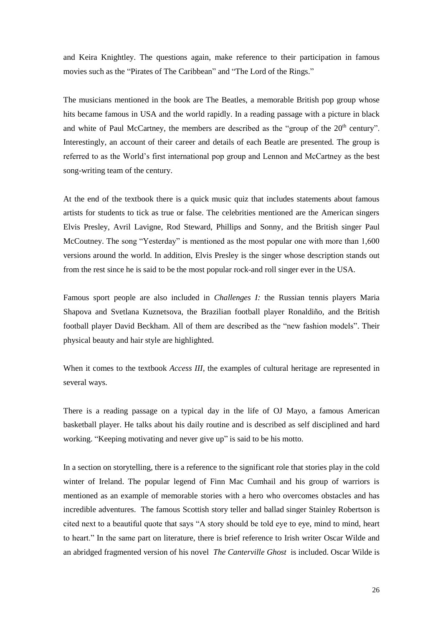and Keira Knightley. The questions again, make reference to their participation in famous movies such as the "Pirates of The Caribbean" and "The Lord of the Rings."

The musicians mentioned in the book are The Beatles, a memorable British pop group whose hits became famous in USA and the world rapidly. In a reading passage with a picture in black and white of Paul McCartney, the members are described as the "group of the  $20<sup>th</sup>$  century". Interestingly, an account of their career and details of each Beatle are presented. The group is referred to as the World's first international pop group and Lennon and McCartney as the best song-writing team of the century.

At the end of the textbook there is a quick music quiz that includes statements about famous artists for students to tick as true or false. The celebrities mentioned are the American singers Elvis Presley, Avril Lavigne, Rod Steward, Phillips and Sonny, and the British singer Paul McCoutney. The song "Yesterday" is mentioned as the most popular one with more than 1,600 versions around the world. In addition, Elvis Presley is the singer whose description stands out from the rest since he is said to be the most popular rock-and roll singer ever in the USA.

Famous sport people are also included in *Challenges I:* the Russian tennis players Maria Shapova and Svetlana Kuznetsova, the Brazilian football player Ronaldiño, and the British football player David Beckham. All of them are described as the "new fashion models". Their physical beauty and hair style are highlighted.

When it comes to the textbook *Access III*, the examples of cultural heritage are represented in several ways.

There is a reading passage on a typical day in the life of OJ Mayo, a famous American basketball player. He talks about his daily routine and is described as self disciplined and hard working. "Keeping motivating and never give up" is said to be his motto.

In a section on storytelling, there is a reference to the significant role that stories play in the cold winter of Ireland. The popular legend of Finn Mac Cumhail and his group of warriors is mentioned as an example of memorable stories with a hero who overcomes obstacles and has incredible adventures. The famous Scottish story teller and ballad singer Stainley Robertson is cited next to a beautiful quote that says "A story should be told eye to eye, mind to mind, heart to heart." In the same part on literature, there is brief reference to Irish writer Oscar Wilde and an abridged fragmented version of his novel *The Canterville Ghost* is included. Oscar Wilde is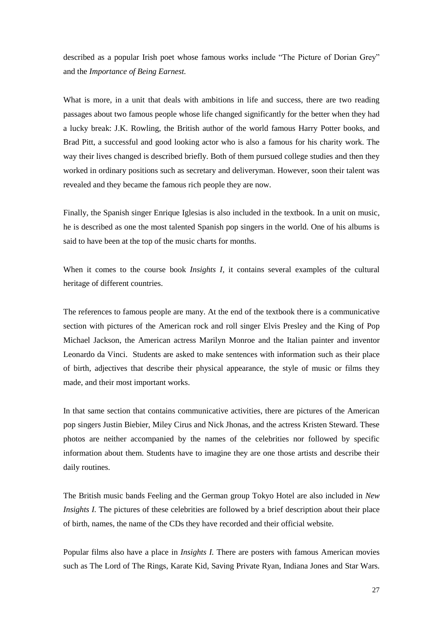described as a popular Irish poet whose famous works include "The Picture of Dorian Grey" and the *Importance of Being Earnest.*

What is more, in a unit that deals with ambitions in life and success, there are two reading passages about two famous people whose life changed significantly for the better when they had a lucky break: J.K. Rowling, the British author of the world famous Harry Potter books, and Brad Pitt, a successful and good looking actor who is also a famous for his charity work. The way their lives changed is described briefly. Both of them pursued college studies and then they worked in ordinary positions such as secretary and deliveryman. However, soon their talent was revealed and they became the famous rich people they are now.

Finally, the Spanish singer Enrique Iglesias is also included in the textbook. In a unit on music, he is described as one the most talented Spanish pop singers in the world. One of his albums is said to have been at the top of the music charts for months.

When it comes to the course book *Insights I,* it contains several examples of the cultural heritage of different countries.

The references to famous people are many. At the end of the textbook there is a communicative section with pictures of the American rock and roll singer Elvis Presley and the King of Pop Michael Jackson, the American actress Marilyn Monroe and the Italian painter and inventor Leonardo da Vinci. Students are asked to make sentences with information such as their place of birth, adjectives that describe their physical appearance, the style of music or films they made, and their most important works.

In that same section that contains communicative activities, there are pictures of the American pop singers Justin Biebier, Miley Cirus and Nick Jhonas, and the actress Kristen Steward. These photos are neither accompanied by the names of the celebrities nor followed by specific information about them. Students have to imagine they are one those artists and describe their daily routines.

The British music bands Feeling and the German group Tokyo Hotel are also included in *New Insights I.* The pictures of these celebrities are followed by a brief description about their place of birth, names, the name of the CDs they have recorded and their official website.

Popular films also have a place in *Insights I.* There are posters with famous American movies such as The Lord of The Rings, Karate Kid, Saving Private Ryan, Indiana Jones and Star Wars.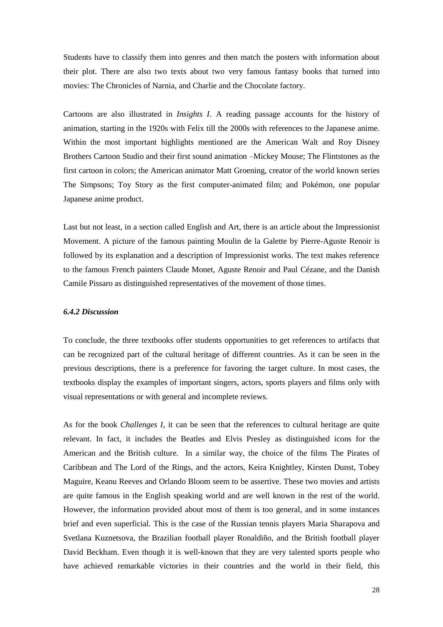Students have to classify them into genres and then match the posters with information about their plot. There are also two texts about two very famous fantasy books that turned into movies: The Chronicles of Narnia, and Charlie and the Chocolate factory.

Cartoons are also illustrated in *Insights I*. A reading passage accounts for the history of animation, starting in the 1920s with Felix till the 2000s with references to the Japanese anime. Within the most important highlights mentioned are the American Walt and Roy Disney Brothers Cartoon Studio and their first sound animation –Mickey Mouse; The Flintstones as the first cartoon in colors; the American animator Matt Groening, creator of the world known series The Simpsons; Toy Story as the first computer-animated film; and Pokémon, one popular Japanese anime product.

Last but not least, in a section called English and Art, there is an article about the Impressionist Movement. A picture of the famous painting Moulin de la Galette by Pierre-Aguste Renoir is followed by its explanation and a description of Impressionist works. The text makes reference to the famous French painters Claude Monet, Aguste Renoir and Paul Cézane, and the Danish Camile Pissaro as distinguished representatives of the movement of those times.

#### *6.4.2 Discussion*

To conclude, the three textbooks offer students opportunities to get references to artifacts that can be recognized part of the cultural heritage of different countries. As it can be seen in the previous descriptions, there is a preference for favoring the target culture. In most cases, the textbooks display the examples of important singers, actors, sports players and films only with visual representations or with general and incomplete reviews.

As for the book *Challenges I,* it can be seen that the references to cultural heritage are quite relevant. In fact, it includes the Beatles and Elvis Presley as distinguished icons for the American and the British culture. In a similar way, the choice of the films The Pirates of Caribbean and The Lord of the Rings, and the actors, Keira Knightley, Kirsten Dunst, Tobey Maguire, Keanu Reeves and Orlando Bloom seem to be assertive. These two movies and artists are quite famous in the English speaking world and are well known in the rest of the world. However, the information provided about most of them is too general, and in some instances brief and even superficial. This is the case of the Russian tennis players Maria Sharapova and Svetlana Kuznetsova, the Brazilian football player Ronaldiño, and the British football player David Beckham. Even though it is well-known that they are very talented sports people who have achieved remarkable victories in their countries and the world in their field, this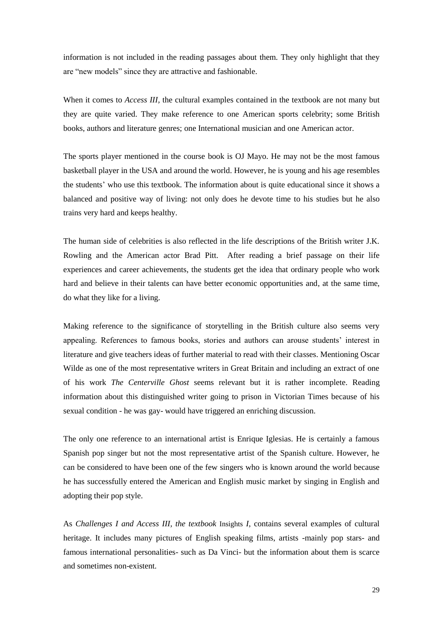information is not included in the reading passages about them. They only highlight that they are "new models" since they are attractive and fashionable.

When it comes to *Access III*, the cultural examples contained in the textbook are not many but they are quite varied. They make reference to one American sports celebrity; some British books, authors and literature genres; one International musician and one American actor.

The sports player mentioned in the course book is OJ Mayo. He may not be the most famous basketball player in the USA and around the world. However, he is young and his age resembles the students' who use this textbook. The information about is quite educational since it shows a balanced and positive way of living: not only does he devote time to his studies but he also trains very hard and keeps healthy.

The human side of celebrities is also reflected in the life descriptions of the British writer J.K. Rowling and the American actor Brad Pitt. After reading a brief passage on their life experiences and career achievements, the students get the idea that ordinary people who work hard and believe in their talents can have better economic opportunities and, at the same time, do what they like for a living.

Making reference to the significance of storytelling in the British culture also seems very appealing. References to famous books, stories and authors can arouse students' interest in literature and give teachers ideas of further material to read with their classes. Mentioning Oscar Wilde as one of the most representative writers in Great Britain and including an extract of one of his work *The Centerville Ghost* seems relevant but it is rather incomplete. Reading information about this distinguished writer going to prison in Victorian Times because of his sexual condition - he was gay- would have triggered an enriching discussion.

The only one reference to an international artist is Enrique Iglesias. He is certainly a famous Spanish pop singer but not the most representative artist of the Spanish culture. However, he can be considered to have been one of the few singers who is known around the world because he has successfully entered the American and English music market by singing in English and adopting their pop style.

As *Challenges I and Access III, the textbook* Insights *I*, contains several examples of cultural heritage. It includes many pictures of English speaking films, artists -mainly pop stars- and famous international personalities- such as Da Vinci- but the information about them is scarce and sometimes non-existent.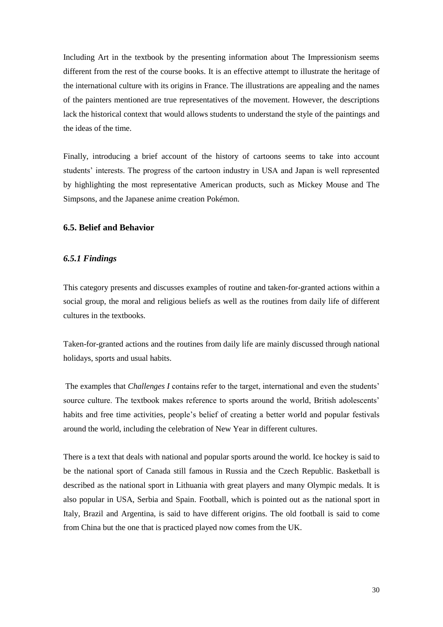Including Art in the textbook by the presenting information about The Impressionism seems different from the rest of the course books. It is an effective attempt to illustrate the heritage of the international culture with its origins in France. The illustrations are appealing and the names of the painters mentioned are true representatives of the movement. However, the descriptions lack the historical context that would allows students to understand the style of the paintings and the ideas of the time.

Finally, introducing a brief account of the history of cartoons seems to take into account students' interests. The progress of the cartoon industry in USA and Japan is well represented by highlighting the most representative American products, such as Mickey Mouse and The Simpsons, and the Japanese anime creation Pokémon.

## **6.5. Belief and Behavior**

#### *6.5.1 Findings*

This category presents and discusses examples of routine and taken-for-granted actions within a social group, the moral and religious beliefs as well as the routines from daily life of different cultures in the textbooks.

Taken-for-granted actions and the routines from daily life are mainly discussed through national holidays, sports and usual habits.

The examples that *Challenges I* contains refer to the target, international and even the students' source culture. The textbook makes reference to sports around the world, British adolescents' habits and free time activities, people's belief of creating a better world and popular festivals around the world, including the celebration of New Year in different cultures.

There is a text that deals with national and popular sports around the world. Ice hockey is said to be the national sport of Canada still famous in Russia and the Czech Republic. Basketball is described as the national sport in Lithuania with great players and many Olympic medals. It is also popular in USA, Serbia and Spain. Football, which is pointed out as the national sport in Italy, Brazil and Argentina, is said to have different origins. The old football is said to come from China but the one that is practiced played now comes from the UK.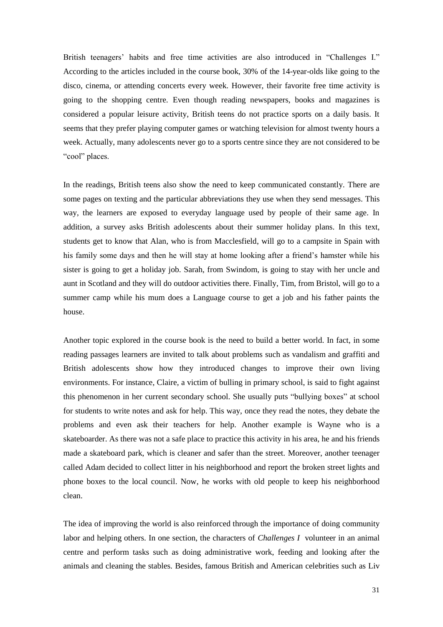British teenagers' habits and free time activities are also introduced in "Challenges I." According to the articles included in the course book, 30% of the 14-year-olds like going to the disco, cinema, or attending concerts every week. However, their favorite free time activity is going to the shopping centre. Even though reading newspapers, books and magazines is considered a popular leisure activity, British teens do not practice sports on a daily basis. It seems that they prefer playing computer games or watching television for almost twenty hours a week. Actually, many adolescents never go to a sports centre since they are not considered to be "cool" places.

In the readings, British teens also show the need to keep communicated constantly. There are some pages on texting and the particular abbreviations they use when they send messages. This way, the learners are exposed to everyday language used by people of their same age. In addition, a survey asks British adolescents about their summer holiday plans. In this text, students get to know that Alan, who is from Macclesfield, will go to a campsite in Spain with his family some days and then he will stay at home looking after a friend's hamster while his sister is going to get a holiday job. Sarah, from Swindom, is going to stay with her uncle and aunt in Scotland and they will do outdoor activities there. Finally, Tim, from Bristol, will go to a summer camp while his mum does a Language course to get a job and his father paints the house.

Another topic explored in the course book is the need to build a better world. In fact, in some reading passages learners are invited to talk about problems such as vandalism and graffiti and British adolescents show how they introduced changes to improve their own living environments. For instance, Claire, a victim of bulling in primary school, is said to fight against this phenomenon in her current secondary school. She usually puts "bullying boxes" at school for students to write notes and ask for help. This way, once they read the notes, they debate the problems and even ask their teachers for help. Another example is Wayne who is a skateboarder. As there was not a safe place to practice this activity in his area, he and his friends made a skateboard park, which is cleaner and safer than the street. Moreover, another teenager called Adam decided to collect litter in his neighborhood and report the broken street lights and phone boxes to the local council. Now, he works with old people to keep his neighborhood clean.

The idea of improving the world is also reinforced through the importance of doing community labor and helping others. In one section, the characters of *Challenges I* volunteer in an animal centre and perform tasks such as doing administrative work, feeding and looking after the animals and cleaning the stables. Besides, famous British and American celebrities such as Liv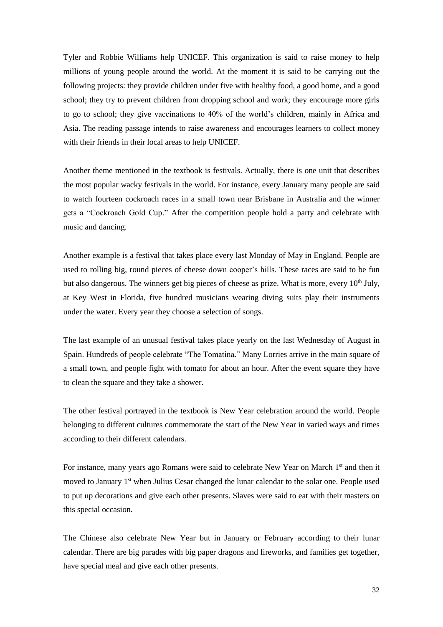Tyler and Robbie Williams help UNICEF. This organization is said to raise money to help millions of young people around the world. At the moment it is said to be carrying out the following projects: they provide children under five with healthy food, a good home, and a good school; they try to prevent children from dropping school and work; they encourage more girls to go to school; they give vaccinations to 40% of the world's children, mainly in Africa and Asia. The reading passage intends to raise awareness and encourages learners to collect money with their friends in their local areas to help UNICEF.

Another theme mentioned in the textbook is festivals. Actually, there is one unit that describes the most popular wacky festivals in the world. For instance, every January many people are said to watch fourteen cockroach races in a small town near Brisbane in Australia and the winner gets a "Cockroach Gold Cup." After the competition people hold a party and celebrate with music and dancing.

Another example is a festival that takes place every last Monday of May in England. People are used to rolling big, round pieces of cheese down cooper's hills. These races are said to be fun but also dangerous. The winners get big pieces of cheese as prize. What is more, every  $10<sup>th</sup>$  July, at Key West in Florida, five hundred musicians wearing diving suits play their instruments under the water. Every year they choose a selection of songs.

The last example of an unusual festival takes place yearly on the last Wednesday of August in Spain. Hundreds of people celebrate "The Tomatina." Many Lorries arrive in the main square of a small town, and people fight with tomato for about an hour. After the event square they have to clean the square and they take a shower.

The other festival portrayed in the textbook is New Year celebration around the world. People belonging to different cultures commemorate the start of the New Year in varied ways and times according to their different calendars.

For instance, many years ago Romans were said to celebrate New Year on March 1<sup>st</sup> and then it moved to January 1<sup>st</sup> when Julius Cesar changed the lunar calendar to the solar one. People used to put up decorations and give each other presents. Slaves were said to eat with their masters on this special occasion.

The Chinese also celebrate New Year but in January or February according to their lunar calendar. There are big parades with big paper dragons and fireworks, and families get together, have special meal and give each other presents.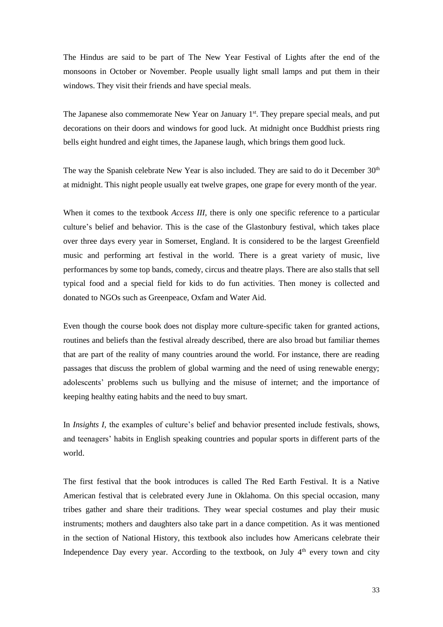The Hindus are said to be part of The New Year Festival of Lights after the end of the monsoons in October or November. People usually light small lamps and put them in their windows. They visit their friends and have special meals.

The Japanese also commemorate New Year on January 1<sup>st</sup>. They prepare special meals, and put decorations on their doors and windows for good luck. At midnight once Buddhist priests ring bells eight hundred and eight times, the Japanese laugh, which brings them good luck.

The way the Spanish celebrate New Year is also included. They are said to do it December 30<sup>th</sup> at midnight. This night people usually eat twelve grapes, one grape for every month of the year.

When it comes to the textbook *Access III,* there is only one specific reference to a particular culture's belief and behavior. This is the case of the Glastonbury festival, which takes place over three days every year in Somerset, England. It is considered to be the largest Greenfield music and performing art festival in the world. There is a great variety of music, live performances by some top bands, comedy, circus and theatre plays. There are also stalls that sell typical food and a special field for kids to do fun activities. Then money is collected and donated to NGOs such as Greenpeace, Oxfam and Water Aid.

Even though the course book does not display more culture-specific taken for granted actions, routines and beliefs than the festival already described, there are also broad but familiar themes that are part of the reality of many countries around the world. For instance, there are reading passages that discuss the problem of global warming and the need of using renewable energy; adolescents' problems such us bullying and the misuse of internet; and the importance of keeping healthy eating habits and the need to buy smart.

In *Insights I,* the examples of culture's belief and behavior presented include festivals, shows, and teenagers' habits in English speaking countries and popular sports in different parts of the world.

The first festival that the book introduces is called The Red Earth Festival. It is a Native American festival that is celebrated every June in Oklahoma. On this special occasion, many tribes gather and share their traditions. They wear special costumes and play their music instruments; mothers and daughters also take part in a dance competition. As it was mentioned in the section of National History, this textbook also includes how Americans celebrate their Independence Day every year. According to the textbook, on July  $4<sup>th</sup>$  every town and city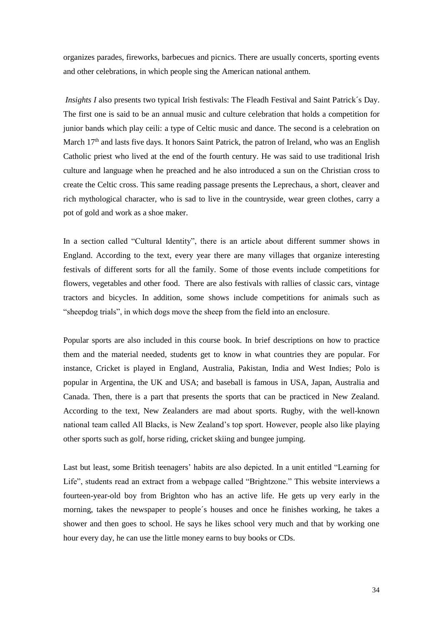organizes parades, fireworks, barbecues and picnics. There are usually concerts, sporting events and other celebrations, in which people sing the American national anthem.

*Insights I* also presents two typical Irish festivals: The Fleadh Festival and Saint Patrick´s Day. The first one is said to be an annual music and culture celebration that holds a competition for junior bands which play ceili: a type of Celtic music and dance. The second is a celebration on March 17<sup>th</sup> and lasts five days. It honors Saint Patrick, the patron of Ireland, who was an English Catholic priest who lived at the end of the fourth century. He was said to use traditional Irish culture and language when he preached and he also introduced a sun on the Christian cross to create the Celtic cross. This same reading passage presents the Leprechaus, a short, cleaver and rich mythological character, who is sad to live in the countryside, wear green clothes, carry a pot of gold and work as a shoe maker.

In a section called "Cultural Identity", there is an article about different summer shows in England. According to the text, every year there are many villages that organize interesting festivals of different sorts for all the family. Some of those events include competitions for flowers, vegetables and other food. There are also festivals with rallies of classic cars, vintage tractors and bicycles. In addition, some shows include competitions for animals such as "sheepdog trials", in which dogs move the sheep from the field into an enclosure.

Popular sports are also included in this course book. In brief descriptions on how to practice them and the material needed, students get to know in what countries they are popular. For instance, Cricket is played in England, Australia, Pakistan, India and West Indies; Polo is popular in Argentina, the UK and USA; and baseball is famous in USA, Japan, Australia and Canada. Then, there is a part that presents the sports that can be practiced in New Zealand. According to the text, New Zealanders are mad about sports. Rugby, with the well-known national team called All Blacks, is New Zealand's top sport. However, people also like playing other sports such as golf, horse riding, cricket skiing and bungee jumping.

Last but least, some British teenagers' habits are also depicted. In a unit entitled "Learning for Life", students read an extract from a webpage called "Brightzone." This website interviews a fourteen-year-old boy from Brighton who has an active life. He gets up very early in the morning, takes the newspaper to people´s houses and once he finishes working, he takes a shower and then goes to school. He says he likes school very much and that by working one hour every day, he can use the little money earns to buy books or CDs.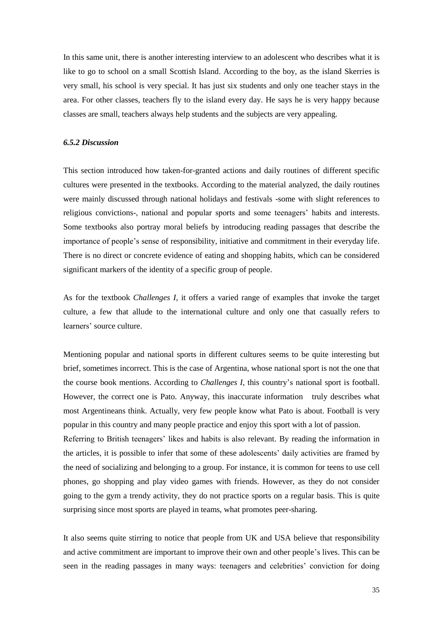In this same unit, there is another interesting interview to an adolescent who describes what it is like to go to school on a small Scottish Island. According to the boy, as the island Skerries is very small, his school is very special. It has just six students and only one teacher stays in the area. For other classes, teachers fly to the island every day. He says he is very happy because classes are small, teachers always help students and the subjects are very appealing.

## *6.5.2 Discussion*

This section introduced how taken-for-granted actions and daily routines of different specific cultures were presented in the textbooks. According to the material analyzed, the daily routines were mainly discussed through national holidays and festivals -some with slight references to religious convictions-, national and popular sports and some teenagers' habits and interests. Some textbooks also portray moral beliefs by introducing reading passages that describe the importance of people's sense of responsibility, initiative and commitment in their everyday life. There is no direct or concrete evidence of eating and shopping habits, which can be considered significant markers of the identity of a specific group of people.

As for the textbook *Challenges I,* it offers a varied range of examples that invoke the target culture, a few that allude to the international culture and only one that casually refers to learners' source culture.

Mentioning popular and national sports in different cultures seems to be quite interesting but brief, sometimes incorrect. This is the case of Argentina, whose national sport is not the one that the course book mentions. According to *Challenges I,* this country's national sport is football. However, the correct one is Pato. Anyway, this inaccurate information truly describes what most Argentineans think. Actually, very few people know what Pato is about. Football is very popular in this country and many people practice and enjoy this sport with a lot of passion. Referring to British teenagers' likes and habits is also relevant. By reading the information in the articles, it is possible to infer that some of these adolescents' daily activities are framed by the need of socializing and belonging to a group. For instance, it is common for teens to use cell phones, go shopping and play video games with friends. However, as they do not consider going to the gym a trendy activity, they do not practice sports on a regular basis. This is quite surprising since most sports are played in teams, what promotes peer-sharing.

It also seems quite stirring to notice that people from UK and USA believe that responsibility and active commitment are important to improve their own and other people's lives. This can be seen in the reading passages in many ways: teenagers and celebrities' conviction for doing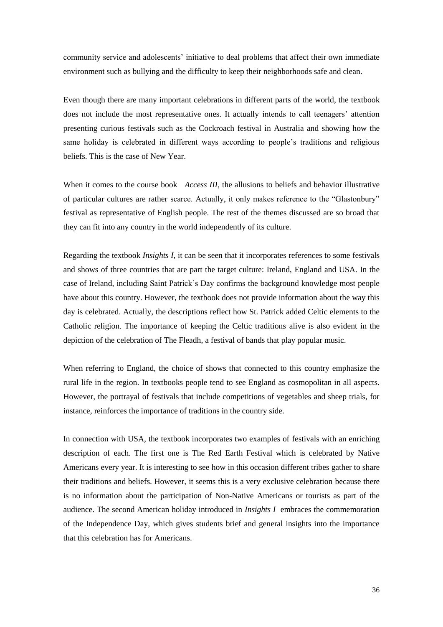community service and adolescents' initiative to deal problems that affect their own immediate environment such as bullying and the difficulty to keep their neighborhoods safe and clean.

Even though there are many important celebrations in different parts of the world, the textbook does not include the most representative ones. It actually intends to call teenagers' attention presenting curious festivals such as the Cockroach festival in Australia and showing how the same holiday is celebrated in different ways according to people's traditions and religious beliefs. This is the case of New Year.

When it comes to the course book *Access III*, the allusions to beliefs and behavior illustrative of particular cultures are rather scarce. Actually, it only makes reference to the "Glastonbury" festival as representative of English people. The rest of the themes discussed are so broad that they can fit into any country in the world independently of its culture.

Regarding the textbook *Insights I,* it can be seen that it incorporates references to some festivals and shows of three countries that are part the target culture: Ireland, England and USA. In the case of Ireland, including Saint Patrick's Day confirms the background knowledge most people have about this country. However, the textbook does not provide information about the way this day is celebrated. Actually, the descriptions reflect how St. Patrick added Celtic elements to the Catholic religion. The importance of keeping the Celtic traditions alive is also evident in the depiction of the celebration of The Fleadh, a festival of bands that play popular music.

When referring to England, the choice of shows that connected to this country emphasize the rural life in the region. In textbooks people tend to see England as cosmopolitan in all aspects. However, the portrayal of festivals that include competitions of vegetables and sheep trials, for instance, reinforces the importance of traditions in the country side.

In connection with USA, the textbook incorporates two examples of festivals with an enriching description of each. The first one is The Red Earth Festival which is celebrated by Native Americans every year. It is interesting to see how in this occasion different tribes gather to share their traditions and beliefs. However, it seems this is a very exclusive celebration because there is no information about the participation of Non-Native Americans or tourists as part of the audience. The second American holiday introduced in *Insights I* embraces the commemoration of the Independence Day, which gives students brief and general insights into the importance that this celebration has for Americans.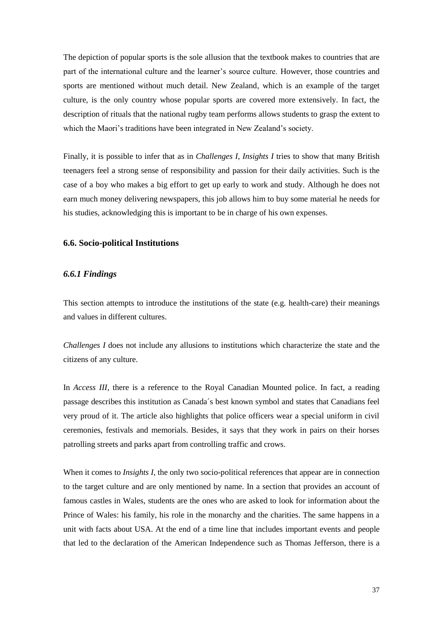The depiction of popular sports is the sole allusion that the textbook makes to countries that are part of the international culture and the learner's source culture. However, those countries and sports are mentioned without much detail. New Zealand, which is an example of the target culture, is the only country whose popular sports are covered more extensively. In fact, the description of rituals that the national rugby team performs allows students to grasp the extent to which the Maori's traditions have been integrated in New Zealand's society.

Finally, it is possible to infer that as in *Challenges I, Insights I* tries to show that many British teenagers feel a strong sense of responsibility and passion for their daily activities. Such is the case of a boy who makes a big effort to get up early to work and study. Although he does not earn much money delivering newspapers, this job allows him to buy some material he needs for his studies, acknowledging this is important to be in charge of his own expenses.

## **6.6. Socio-political Institutions**

## *6.6.1 Findings*

This section attempts to introduce the institutions of the state (e.g. health-care) their meanings and values in different cultures.

*Challenges I* does not include any allusions to institutions which characterize the state and the citizens of any culture.

In *Access III*, there is a reference to the Royal Canadian Mounted police. In fact, a reading passage describes this institution as Canada´s best known symbol and states that Canadians feel very proud of it. The article also highlights that police officers wear a special uniform in civil ceremonies, festivals and memorials. Besides, it says that they work in pairs on their horses patrolling streets and parks apart from controlling traffic and crows.

When it comes to *Insights I*, the only two socio-political references that appear are in connection to the target culture and are only mentioned by name. In a section that provides an account of famous castles in Wales, students are the ones who are asked to look for information about the Prince of Wales: his family, his role in the monarchy and the charities. The same happens in a unit with facts about USA. At the end of a time line that includes important events and people that led to the declaration of the American Independence such as Thomas Jefferson, there is a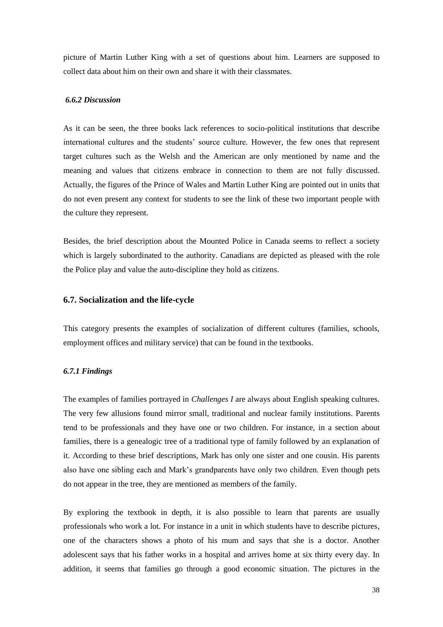picture of Martin Luther King with a set of questions about him. Learners are supposed to collect data about him on their own and share it with their classmates.

#### *6.6.2 Discussion*

As it can be seen, the three books lack references to socio-political institutions that describe international cultures and the students' source culture. However, the few ones that represent target cultures such as the Welsh and the American are only mentioned by name and the meaning and values that citizens embrace in connection to them are not fully discussed. Actually, the figures of the Prince of Wales and Martin Luther King are pointed out in units that do not even present any context for students to see the link of these two important people with the culture they represent.

Besides, the brief description about the Mounted Police in Canada seems to reflect a society which is largely subordinated to the authority. Canadians are depicted as pleased with the role the Police play and value the auto-discipline they hold as citizens.

## **6.7. Socialization and the life-cycle**

This category presents the examples of socialization of different cultures (families, schools, employment offices and military service) that can be found in the textbooks.

#### *6.7.1 Findings*

The examples of families portrayed in *Challenges I* are always about English speaking cultures. The very few allusions found mirror small, traditional and nuclear family institutions. Parents tend to be professionals and they have one or two children. For instance, in a section about families, there is a genealogic tree of a traditional type of family followed by an explanation of it. According to these brief descriptions, Mark has only one sister and one cousin. His parents also have one sibling each and Mark's grandparents have only two children. Even though pets do not appear in the tree, they are mentioned as members of the family.

By exploring the textbook in depth, it is also possible to learn that parents are usually professionals who work a lot. For instance in a unit in which students have to describe pictures, one of the characters shows a photo of his mum and says that she is a doctor. Another adolescent says that his father works in a hospital and arrives home at six thirty every day. In addition, it seems that families go through a good economic situation. The pictures in the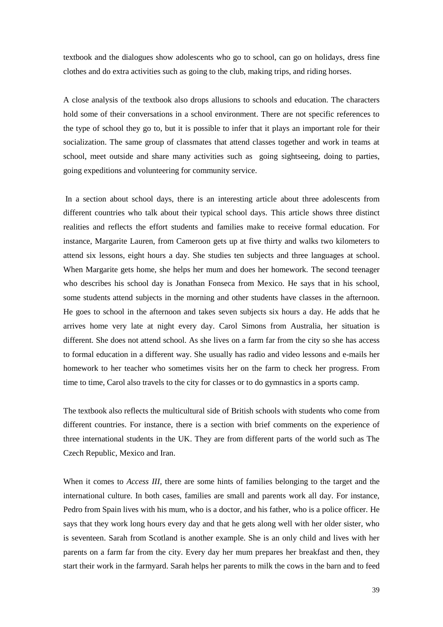textbook and the dialogues show adolescents who go to school, can go on holidays, dress fine clothes and do extra activities such as going to the club, making trips, and riding horses.

A close analysis of the textbook also drops allusions to schools and education. The characters hold some of their conversations in a school environment. There are not specific references to the type of school they go to, but it is possible to infer that it plays an important role for their socialization. The same group of classmates that attend classes together and work in teams at school, meet outside and share many activities such as going sightseeing, doing to parties, going expeditions and volunteering for community service.

In a section about school days, there is an interesting article about three adolescents from different countries who talk about their typical school days. This article shows three distinct realities and reflects the effort students and families make to receive formal education. For instance, Margarite Lauren, from Cameroon gets up at five thirty and walks two kilometers to attend six lessons, eight hours a day. She studies ten subjects and three languages at school. When Margarite gets home, she helps her mum and does her homework. The second teenager who describes his school day is Jonathan Fonseca from Mexico. He says that in his school, some students attend subjects in the morning and other students have classes in the afternoon. He goes to school in the afternoon and takes seven subjects six hours a day. He adds that he arrives home very late at night every day. Carol Simons from Australia, her situation is different. She does not attend school. As she lives on a farm far from the city so she has access to formal education in a different way. She usually has radio and video lessons and e-mails her homework to her teacher who sometimes visits her on the farm to check her progress. From time to time, Carol also travels to the city for classes or to do gymnastics in a sports camp.

The textbook also reflects the multicultural side of British schools with students who come from different countries. For instance, there is a section with brief comments on the experience of three international students in the UK. They are from different parts of the world such as The Czech Republic, Mexico and Iran.

When it comes to *Access III,* there are some hints of families belonging to the target and the international culture. In both cases, families are small and parents work all day. For instance, Pedro from Spain lives with his mum, who is a doctor, and his father, who is a police officer. He says that they work long hours every day and that he gets along well with her older sister, who is seventeen. Sarah from Scotland is another example. She is an only child and lives with her parents on a farm far from the city. Every day her mum prepares her breakfast and then, they start their work in the farmyard. Sarah helps her parents to milk the cows in the barn and to feed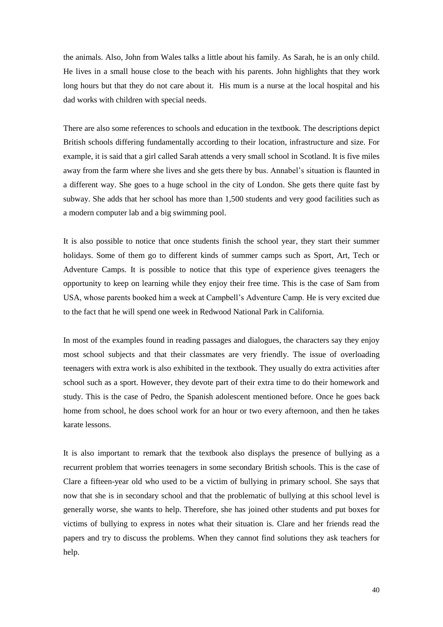the animals. Also, John from Wales talks a little about his family. As Sarah, he is an only child. He lives in a small house close to the beach with his parents. John highlights that they work long hours but that they do not care about it. His mum is a nurse at the local hospital and his dad works with children with special needs.

There are also some references to schools and education in the textbook. The descriptions depict British schools differing fundamentally according to their location, infrastructure and size. For example, it is said that a girl called Sarah attends a very small school in Scotland. It is five miles away from the farm where she lives and she gets there by bus. Annabel's situation is flaunted in a different way. She goes to a huge school in the city of London. She gets there quite fast by subway. She adds that her school has more than 1,500 students and very good facilities such as a modern computer lab and a big swimming pool.

It is also possible to notice that once students finish the school year, they start their summer holidays. Some of them go to different kinds of summer camps such as Sport, Art, Tech or Adventure Camps. It is possible to notice that this type of experience gives teenagers the opportunity to keep on learning while they enjoy their free time. This is the case of Sam from USA, whose parents booked him a week at Campbell's Adventure Camp. He is very excited due to the fact that he will spend one week in Redwood National Park in California.

In most of the examples found in reading passages and dialogues, the characters say they enjoy most school subjects and that their classmates are very friendly. The issue of overloading teenagers with extra work is also exhibited in the textbook. They usually do extra activities after school such as a sport. However, they devote part of their extra time to do their homework and study. This is the case of Pedro, the Spanish adolescent mentioned before. Once he goes back home from school, he does school work for an hour or two every afternoon, and then he takes karate lessons.

It is also important to remark that the textbook also displays the presence of bullying as a recurrent problem that worries teenagers in some secondary British schools. This is the case of Clare a fifteen-year old who used to be a victim of bullying in primary school. She says that now that she is in secondary school and that the problematic of bullying at this school level is generally worse, she wants to help. Therefore, she has joined other students and put boxes for victims of bullying to express in notes what their situation is. Clare and her friends read the papers and try to discuss the problems. When they cannot find solutions they ask teachers for help.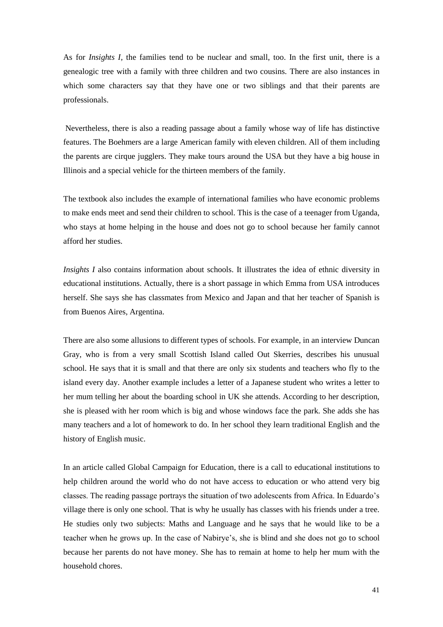As for *Insights I,* the families tend to be nuclear and small, too. In the first unit, there is a genealogic tree with a family with three children and two cousins. There are also instances in which some characters say that they have one or two siblings and that their parents are professionals.

Nevertheless, there is also a reading passage about a family whose way of life has distinctive features. The Boehmers are a large American family with eleven children. All of them including the parents are cirque jugglers. They make tours around the USA but they have a big house in Illinois and a special vehicle for the thirteen members of the family.

The textbook also includes the example of international families who have economic problems to make ends meet and send their children to school. This is the case of a teenager from Uganda, who stays at home helping in the house and does not go to school because her family cannot afford her studies.

*Insights I* also contains information about schools. It illustrates the idea of ethnic diversity in educational institutions. Actually, there is a short passage in which Emma from USA introduces herself. She says she has classmates from Mexico and Japan and that her teacher of Spanish is from Buenos Aires, Argentina.

There are also some allusions to different types of schools. For example, in an interview Duncan Gray, who is from a very small Scottish Island called Out Skerries, describes his unusual school. He says that it is small and that there are only six students and teachers who fly to the island every day. Another example includes a letter of a Japanese student who writes a letter to her mum telling her about the boarding school in UK she attends. According to her description, she is pleased with her room which is big and whose windows face the park. She adds she has many teachers and a lot of homework to do. In her school they learn traditional English and the history of English music.

In an article called Global Campaign for Education, there is a call to educational institutions to help children around the world who do not have access to education or who attend very big classes. The reading passage portrays the situation of two adolescents from Africa. In Eduardo's village there is only one school. That is why he usually has classes with his friends under a tree. He studies only two subjects: Maths and Language and he says that he would like to be a teacher when he grows up. In the case of Nabirye's, she is blind and she does not go to school because her parents do not have money. She has to remain at home to help her mum with the household chores.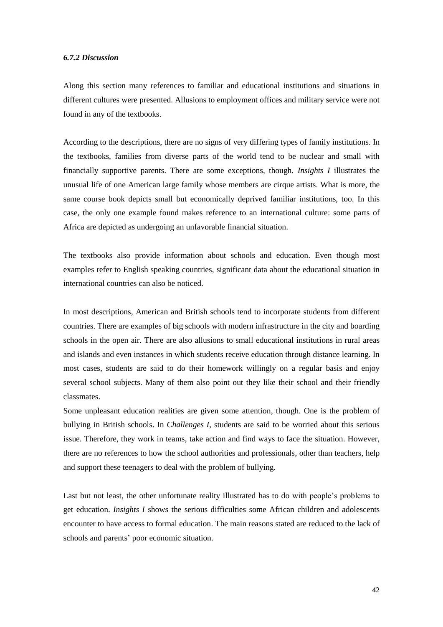#### *6.7.2 Discussion*

Along this section many references to familiar and educational institutions and situations in different cultures were presented. Allusions to employment offices and military service were not found in any of the textbooks.

According to the descriptions, there are no signs of very differing types of family institutions. In the textbooks, families from diverse parts of the world tend to be nuclear and small with financially supportive parents. There are some exceptions, though*. Insights I* illustrates the unusual life of one American large family whose members are cirque artists. What is more, the same course book depicts small but economically deprived familiar institutions, too. In this case, the only one example found makes reference to an international culture: some parts of Africa are depicted as undergoing an unfavorable financial situation.

The textbooks also provide information about schools and education. Even though most examples refer to English speaking countries, significant data about the educational situation in international countries can also be noticed.

In most descriptions, American and British schools tend to incorporate students from different countries. There are examples of big schools with modern infrastructure in the city and boarding schools in the open air. There are also allusions to small educational institutions in rural areas and islands and even instances in which students receive education through distance learning. In most cases, students are said to do their homework willingly on a regular basis and enjoy several school subjects. Many of them also point out they like their school and their friendly classmates.

Some unpleasant education realities are given some attention, though. One is the problem of bullying in British schools. In *Challenges I*, students are said to be worried about this serious issue. Therefore, they work in teams, take action and find ways to face the situation. However, there are no references to how the school authorities and professionals, other than teachers, help and support these teenagers to deal with the problem of bullying.

Last but not least, the other unfortunate reality illustrated has to do with people's problems to get education. *Insights I* shows the serious difficulties some African children and adolescents encounter to have access to formal education. The main reasons stated are reduced to the lack of schools and parents' poor economic situation.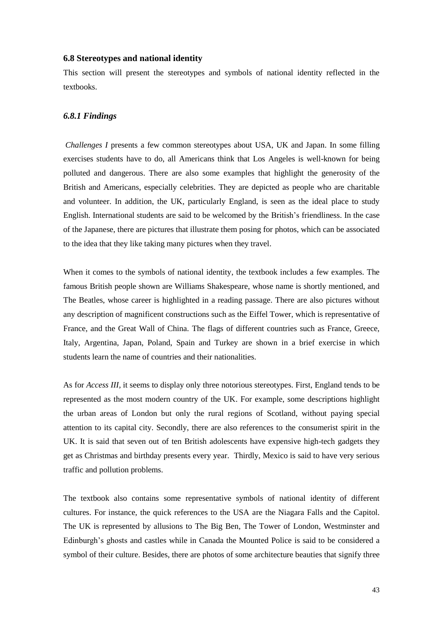#### **6.8 Stereotypes and national identity**

This section will present the stereotypes and symbols of national identity reflected in the textbooks.

#### *6.8.1 Findings*

*Challenges I* presents a few common stereotypes about USA, UK and Japan. In some filling exercises students have to do, all Americans think that Los Angeles is well-known for being polluted and dangerous. There are also some examples that highlight the generosity of the British and Americans, especially celebrities. They are depicted as people who are charitable and volunteer. In addition, the UK, particularly England, is seen as the ideal place to study English. International students are said to be welcomed by the British's friendliness. In the case of the Japanese, there are pictures that illustrate them posing for photos, which can be associated to the idea that they like taking many pictures when they travel.

When it comes to the symbols of national identity, the textbook includes a few examples. The famous British people shown are Williams Shakespeare, whose name is shortly mentioned, and The Beatles, whose career is highlighted in a reading passage. There are also pictures without any description of magnificent constructions such as the Eiffel Tower, which is representative of France, and the Great Wall of China. The flags of different countries such as France, Greece, Italy, Argentina, Japan, Poland, Spain and Turkey are shown in a brief exercise in which students learn the name of countries and their nationalities.

As for *Access III,* it seems to display only three notorious stereotypes. First, England tends to be represented as the most modern country of the UK. For example, some descriptions highlight the urban areas of London but only the rural regions of Scotland, without paying special attention to its capital city. Secondly, there are also references to the consumerist spirit in the UK. It is said that seven out of ten British adolescents have expensive high-tech gadgets they get as Christmas and birthday presents every year. Thirdly, Mexico is said to have very serious traffic and pollution problems.

The textbook also contains some representative symbols of national identity of different cultures. For instance, the quick references to the USA are the Niagara Falls and the Capitol. The UK is represented by allusions to The Big Ben, The Tower of London, Westminster and Edinburgh's ghosts and castles while in Canada the Mounted Police is said to be considered a symbol of their culture. Besides, there are photos of some architecture beauties that signify three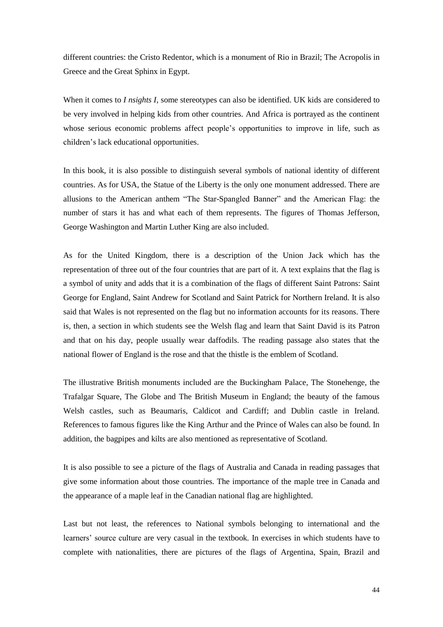different countries: the Cristo Redentor, which is a monument of Rio in Brazil; The Acropolis in Greece and the Great Sphinx in Egypt.

When it comes to *I nsights I,* some stereotypes can also be identified. UK kids are considered to be very involved in helping kids from other countries. And Africa is portrayed as the continent whose serious economic problems affect people's opportunities to improve in life, such as children's lack educational opportunities.

In this book, it is also possible to distinguish several symbols of national identity of different countries. As for USA, the Statue of the Liberty is the only one monument addressed. There are allusions to the American anthem "The Star-Spangled Banner" and the American Flag: the number of stars it has and what each of them represents. The figures of Thomas Jefferson, George Washington and Martin Luther King are also included.

As for the United Kingdom, there is a description of the Union Jack which has the representation of three out of the four countries that are part of it. A text explains that the flag is a symbol of unity and adds that it is a combination of the flags of different Saint Patrons: Saint George for England, Saint Andrew for Scotland and Saint Patrick for Northern Ireland. It is also said that Wales is not represented on the flag but no information accounts for its reasons. There is, then, a section in which students see the Welsh flag and learn that Saint David is its Patron and that on his day, people usually wear daffodils. The reading passage also states that the national flower of England is the rose and that the thistle is the emblem of Scotland.

The illustrative British monuments included are the Buckingham Palace, The Stonehenge, the Trafalgar Square, The Globe and The British Museum in England; the beauty of the famous Welsh castles, such as Beaumaris, Caldicot and Cardiff; and Dublin castle in Ireland. References to famous figures like the King Arthur and the Prince of Wales can also be found. In addition, the bagpipes and kilts are also mentioned as representative of Scotland.

It is also possible to see a picture of the flags of Australia and Canada in reading passages that give some information about those countries. The importance of the maple tree in Canada and the appearance of a maple leaf in the Canadian national flag are highlighted.

Last but not least, the references to National symbols belonging to international and the learners' source culture are very casual in the textbook. In exercises in which students have to complete with nationalities, there are pictures of the flags of Argentina, Spain, Brazil and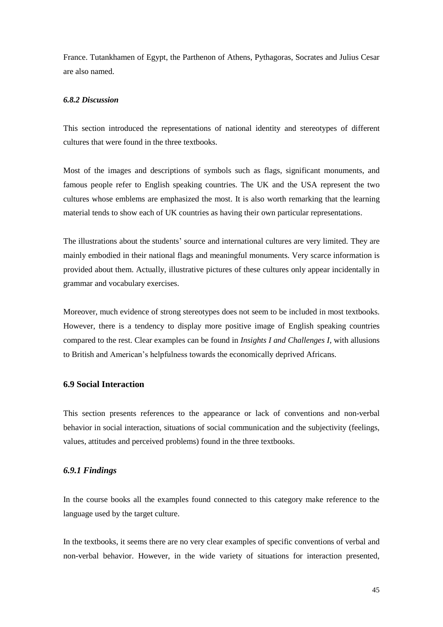France. Tutankhamen of Egypt, the Parthenon of Athens, Pythagoras, Socrates and Julius Cesar are also named.

#### *6.8.2 Discussion*

This section introduced the representations of national identity and stereotypes of different cultures that were found in the three textbooks.

Most of the images and descriptions of symbols such as flags, significant monuments, and famous people refer to English speaking countries. The UK and the USA represent the two cultures whose emblems are emphasized the most. It is also worth remarking that the learning material tends to show each of UK countries as having their own particular representations.

The illustrations about the students' source and international cultures are very limited. They are mainly embodied in their national flags and meaningful monuments. Very scarce information is provided about them. Actually, illustrative pictures of these cultures only appear incidentally in grammar and vocabulary exercises.

Moreover, much evidence of strong stereotypes does not seem to be included in most textbooks. However, there is a tendency to display more positive image of English speaking countries compared to the rest. Clear examples can be found in *Insights I and Challenges I,* with allusions to British and American's helpfulness towards the economically deprived Africans.

## **6.9 Social Interaction**

This section presents references to the appearance or lack of conventions and non-verbal behavior in social interaction, situations of social communication and the subjectivity (feelings, values, attitudes and perceived problems) found in the three textbooks.

## *6.9.1 Findings*

In the course books all the examples found connected to this category make reference to the language used by the target culture.

In the textbooks, it seems there are no very clear examples of specific conventions of verbal and non-verbal behavior. However, in the wide variety of situations for interaction presented,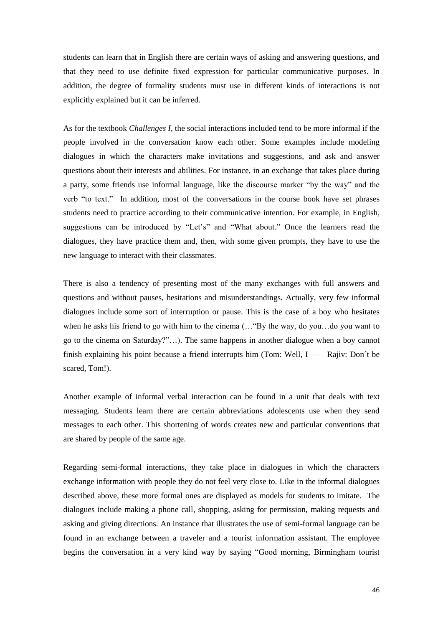students can learn that in English there are certain ways of asking and answering questions, and that they need to use definite fixed expression for particular communicative purposes. In addition, the degree of formality students must use in different kinds of interactions is not explicitly explained but it can be inferred.

As for the textbook *Challenges I,* the social interactions included tend to be more informal if the people involved in the conversation know each other. Some examples include modeling dialogues in which the characters make invitations and suggestions, and ask and answer questions about their interests and abilities. For instance, in an exchange that takes place during a party, some friends use informal language, like the discourse marker "by the way" and the verb "to text." In addition, most of the conversations in the course book have set phrases students need to practice according to their communicative intention. For example, in English, suggestions can be introduced by "Let's" and "What about." Once the learners read the dialogues, they have practice them and, then, with some given prompts, they have to use the new language to interact with their classmates.

There is also a tendency of presenting most of the many exchanges with full answers and questions and without pauses, hesitations and misunderstandings. Actually, very few informal dialogues include some sort of interruption or pause. This is the case of a boy who hesitates when he asks his friend to go with him to the cinema (... "By the way, do you...do you want to go to the cinema on Saturday?"…). The same happens in another dialogue when a boy cannot finish explaining his point because a friend interrupts him (Tom: Well,  $I -$  Rajiv: Don't be scared, Tom!).

Another example of informal verbal interaction can be found in a unit that deals with text messaging. Students learn there are certain abbreviations adolescents use when they send messages to each other. This shortening of words creates new and particular conventions that are shared by people of the same age.

Regarding semi-formal interactions, they take place in dialogues in which the characters exchange information with people they do not feel very close to. Like in the informal dialogues described above, these more formal ones are displayed as models for students to imitate. The dialogues include making a phone call, shopping, asking for permission, making requests and asking and giving directions. An instance that illustrates the use of semi-formal language can be found in an exchange between a traveler and a tourist information assistant. The employee begins the conversation in a very kind way by saying "Good morning, Birmingham tourist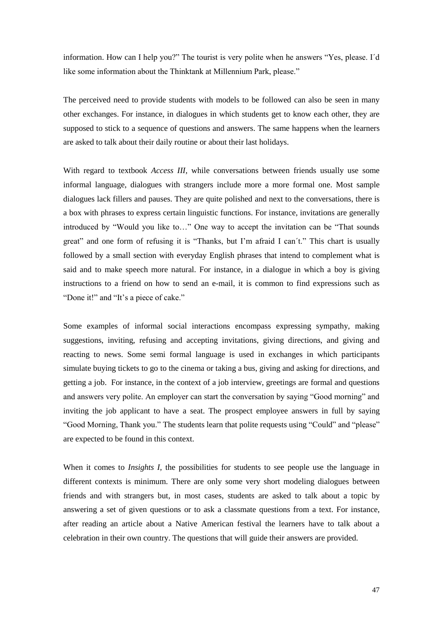information. How can I help you?" The tourist is very polite when he answers "Yes, please. I´d like some information about the Thinktank at Millennium Park, please."

The perceived need to provide students with models to be followed can also be seen in many other exchanges. For instance, in dialogues in which students get to know each other, they are supposed to stick to a sequence of questions and answers. The same happens when the learners are asked to talk about their daily routine or about their last holidays.

With regard to textbook *Access III,* while conversations between friends usually use some informal language, dialogues with strangers include more a more formal one. Most sample dialogues lack fillers and pauses. They are quite polished and next to the conversations, there is a box with phrases to express certain linguistic functions. For instance, invitations are generally introduced by "Would you like to…" One way to accept the invitation can be "That sounds great" and one form of refusing it is "Thanks, but I'm afraid I can´t." This chart is usually followed by a small section with everyday English phrases that intend to complement what is said and to make speech more natural. For instance, in a dialogue in which a boy is giving instructions to a friend on how to send an e-mail, it is common to find expressions such as "Done it!" and "It's a piece of cake."

Some examples of informal social interactions encompass expressing sympathy, making suggestions, inviting, refusing and accepting invitations, giving directions, and giving and reacting to news. Some semi formal language is used in exchanges in which participants simulate buying tickets to go to the cinema or taking a bus, giving and asking for directions, and getting a job. For instance, in the context of a job interview, greetings are formal and questions and answers very polite. An employer can start the conversation by saying "Good morning" and inviting the job applicant to have a seat. The prospect employee answers in full by saying "Good Morning, Thank you." The students learn that polite requests using "Could" and "please" are expected to be found in this context.

When it comes to *Insights I*, the possibilities for students to see people use the language in different contexts is minimum. There are only some very short modeling dialogues between friends and with strangers but, in most cases, students are asked to talk about a topic by answering a set of given questions or to ask a classmate questions from a text. For instance, after reading an article about a Native American festival the learners have to talk about a celebration in their own country. The questions that will guide their answers are provided.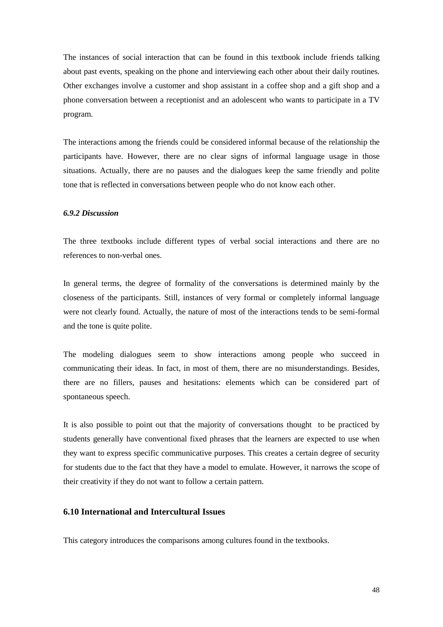The instances of social interaction that can be found in this textbook include friends talking about past events, speaking on the phone and interviewing each other about their daily routines. Other exchanges involve a customer and shop assistant in a coffee shop and a gift shop and a phone conversation between a receptionist and an adolescent who wants to participate in a TV program.

The interactions among the friends could be considered informal because of the relationship the participants have. However, there are no clear signs of informal language usage in those situations. Actually, there are no pauses and the dialogues keep the same friendly and polite tone that is reflected in conversations between people who do not know each other.

#### *6.9.2 Discussion*

The three textbooks include different types of verbal social interactions and there are no references to non-verbal ones.

In general terms, the degree of formality of the conversations is determined mainly by the closeness of the participants. Still, instances of very formal or completely informal language were not clearly found. Actually, the nature of most of the interactions tends to be semi-formal and the tone is quite polite.

The modeling dialogues seem to show interactions among people who succeed in communicating their ideas. In fact, in most of them, there are no misunderstandings. Besides, there are no fillers, pauses and hesitations: elements which can be considered part of spontaneous speech.

It is also possible to point out that the majority of conversations thought to be practiced by students generally have conventional fixed phrases that the learners are expected to use when they want to express specific communicative purposes. This creates a certain degree of security for students due to the fact that they have a model to emulate. However, it narrows the scope of their creativity if they do not want to follow a certain pattern.

## **6.10 International and Intercultural Issues**

This category introduces the comparisons among cultures found in the textbooks.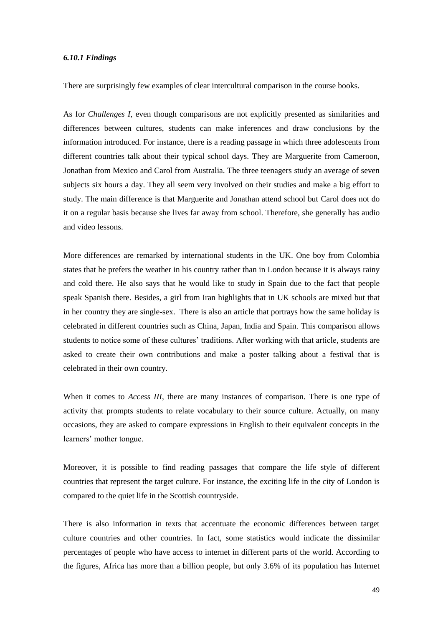#### *6.10.1 Findings*

There are surprisingly few examples of clear intercultural comparison in the course books.

As for *Challenges I,* even though comparisons are not explicitly presented as similarities and differences between cultures, students can make inferences and draw conclusions by the information introduced. For instance, there is a reading passage in which three adolescents from different countries talk about their typical school days. They are Marguerite from Cameroon, Jonathan from Mexico and Carol from Australia. The three teenagers study an average of seven subjects six hours a day. They all seem very involved on their studies and make a big effort to study. The main difference is that Marguerite and Jonathan attend school but Carol does not do it on a regular basis because she lives far away from school. Therefore, she generally has audio and video lessons.

More differences are remarked by international students in the UK. One boy from Colombia states that he prefers the weather in his country rather than in London because it is always rainy and cold there. He also says that he would like to study in Spain due to the fact that people speak Spanish there. Besides, a girl from Iran highlights that in UK schools are mixed but that in her country they are single-sex. There is also an article that portrays how the same holiday is celebrated in different countries such as China, Japan, India and Spain. This comparison allows students to notice some of these cultures' traditions. After working with that article, students are asked to create their own contributions and make a poster talking about a festival that is celebrated in their own country.

When it comes to *Access III*, there are many instances of comparison. There is one type of activity that prompts students to relate vocabulary to their source culture. Actually, on many occasions, they are asked to compare expressions in English to their equivalent concepts in the learners' mother tongue.

Moreover, it is possible to find reading passages that compare the life style of different countries that represent the target culture. For instance, the exciting life in the city of London is compared to the quiet life in the Scottish countryside.

There is also information in texts that accentuate the economic differences between target culture countries and other countries. In fact, some statistics would indicate the dissimilar percentages of people who have access to internet in different parts of the world. According to the figures, Africa has more than a billion people, but only 3.6% of its population has Internet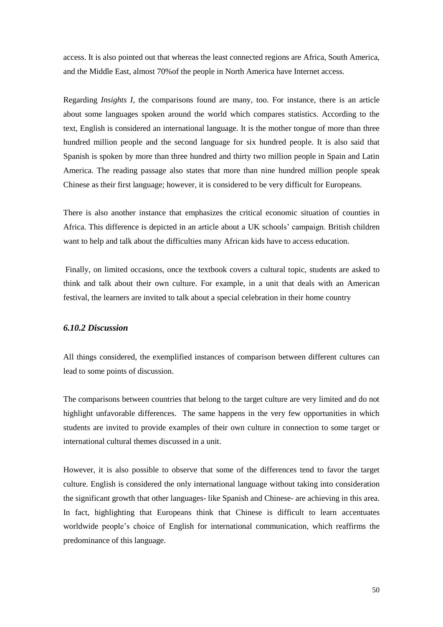access. It is also pointed out that whereas the least connected regions are Africa, South America, and the Middle East, almost 70%of the people in North America have Internet access.

Regarding *Insights I,* the comparisons found are many, too. For instance, there is an article about some languages spoken around the world which compares statistics. According to the text, English is considered an international language. It is the mother tongue of more than three hundred million people and the second language for six hundred people. It is also said that Spanish is spoken by more than three hundred and thirty two million people in Spain and Latin America. The reading passage also states that more than nine hundred million people speak Chinese as their first language; however, it is considered to be very difficult for Europeans.

There is also another instance that emphasizes the critical economic situation of counties in Africa. This difference is depicted in an article about a UK schools' campaign. British children want to help and talk about the difficulties many African kids have to access education.

Finally, on limited occasions, once the textbook covers a cultural topic, students are asked to think and talk about their own culture. For example, in a unit that deals with an American festival, the learners are invited to talk about a special celebration in their home country

## *6.10.2 Discussion*

All things considered, the exemplified instances of comparison between different cultures can lead to some points of discussion.

The comparisons between countries that belong to the target culture are very limited and do not highlight unfavorable differences. The same happens in the very few opportunities in which students are invited to provide examples of their own culture in connection to some target or international cultural themes discussed in a unit.

However, it is also possible to observe that some of the differences tend to favor the target culture. English is considered the only international language without taking into consideration the significant growth that other languages- like Spanish and Chinese- are achieving in this area. In fact, highlighting that Europeans think that Chinese is difficult to learn accentuates worldwide people's choice of English for international communication, which reaffirms the predominance of this language.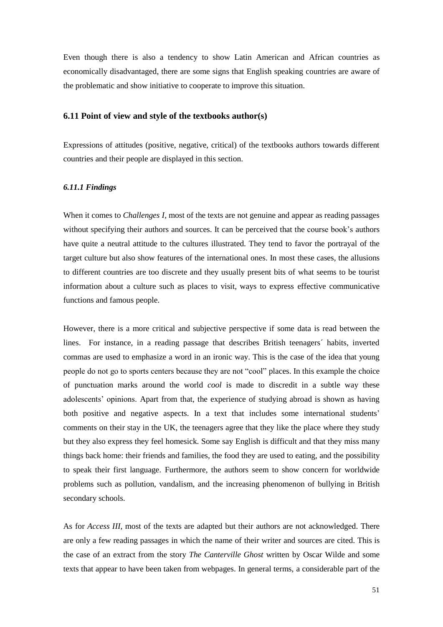Even though there is also a tendency to show Latin American and African countries as economically disadvantaged, there are some signs that English speaking countries are aware of the problematic and show initiative to cooperate to improve this situation.

## **6.11 Point of view and style of the textbooks author(s)**

Expressions of attitudes (positive, negative, critical) of the textbooks authors towards different countries and their people are displayed in this section.

#### *6.11.1 Findings*

When it comes to *Challenges I,* most of the texts are not genuine and appear as reading passages without specifying their authors and sources. It can be perceived that the course book's authors have quite a neutral attitude to the cultures illustrated. They tend to favor the portrayal of the target culture but also show features of the international ones. In most these cases, the allusions to different countries are too discrete and they usually present bits of what seems to be tourist information about a culture such as places to visit, ways to express effective communicative functions and famous people.

However, there is a more critical and subjective perspective if some data is read between the lines. For instance, in a reading passage that describes British teenagers´ habits, inverted commas are used to emphasize a word in an ironic way. This is the case of the idea that young people do not go to sports centers because they are not "cool" places. In this example the choice of punctuation marks around the world *cool* is made to discredit in a subtle way these adolescents' opinions. Apart from that, the experience of studying abroad is shown as having both positive and negative aspects. In a text that includes some international students' comments on their stay in the UK, the teenagers agree that they like the place where they study but they also express they feel homesick. Some say English is difficult and that they miss many things back home: their friends and families, the food they are used to eating, and the possibility to speak their first language. Furthermore, the authors seem to show concern for worldwide problems such as pollution, vandalism, and the increasing phenomenon of bullying in British secondary schools.

As for *Access III,* most of the texts are adapted but their authors are not acknowledged. There are only a few reading passages in which the name of their writer and sources are cited. This is the case of an extract from the story *The Canterville Ghost* written by Oscar Wilde and some texts that appear to have been taken from webpages. In general terms, a considerable part of the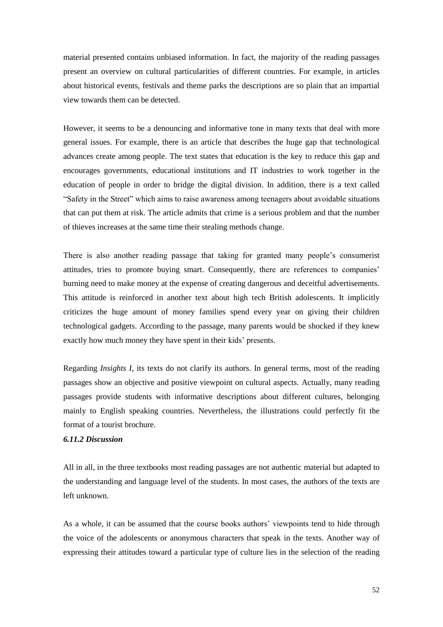material presented contains unbiased information. In fact, the majority of the reading passages present an overview on cultural particularities of different countries. For example, in articles about historical events, festivals and theme parks the descriptions are so plain that an impartial view towards them can be detected.

However, it seems to be a denouncing and informative tone in many texts that deal with more general issues. For example, there is an article that describes the huge gap that technological advances create among people. The text states that education is the key to reduce this gap and encourages governments, educational institutions and IT industries to work together in the education of people in order to bridge the digital division. In addition, there is a text called "Safety in the Street" which aims to raise awareness among teenagers about avoidable situations that can put them at risk. The article admits that crime is a serious problem and that the number of thieves increases at the same time their stealing methods change.

There is also another reading passage that taking for granted many people's consumerist attitudes, tries to promote buying smart. Consequently, there are references to companies' burning need to make money at the expense of creating dangerous and deceitful advertisements. This attitude is reinforced in another text about high tech British adolescents. It implicitly criticizes the huge amount of money families spend every year on giving their children technological gadgets. According to the passage, many parents would be shocked if they knew exactly how much money they have spent in their kids' presents.

Regarding *Insights I,* its texts do not clarify its authors. In general terms, most of the reading passages show an objective and positive viewpoint on cultural aspects. Actually, many reading passages provide students with informative descriptions about different cultures, belonging mainly to English speaking countries. Nevertheless, the illustrations could perfectly fit the format of a tourist brochure.

### *6.11.2 Discussion*

All in all, in the three textbooks most reading passages are not authentic material but adapted to the understanding and language level of the students. In most cases, the authors of the texts are left unknown.

As a whole, it can be assumed that the course books authors' viewpoints tend to hide through the voice of the adolescents or anonymous characters that speak in the texts. Another way of expressing their attitudes toward a particular type of culture lies in the selection of the reading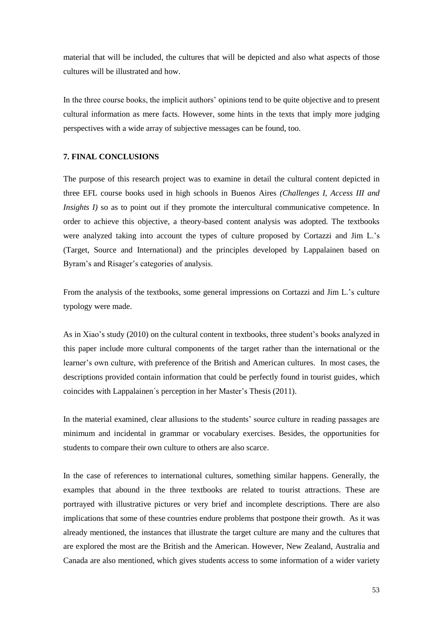material that will be included, the cultures that will be depicted and also what aspects of those cultures will be illustrated and how.

In the three course books, the implicit authors' opinions tend to be quite objective and to present cultural information as mere facts. However, some hints in the texts that imply more judging perspectives with a wide array of subjective messages can be found, too.

## **7. FINAL CONCLUSIONS**

The purpose of this research project was to examine in detail the cultural content depicted in three EFL course books used in high schools in Buenos Aires *(Challenges I, Access III and Insights I)* so as to point out if they promote the intercultural communicative competence. In order to achieve this objective, a theory-based content analysis was adopted. The textbooks were analyzed taking into account the types of culture proposed by Cortazzi and Jim L.'s (Target, Source and International) and the principles developed by Lappalainen based on Byram's and Risager's categories of analysis.

From the analysis of the textbooks, some general impressions on Cortazzi and Jim L.'s culture typology were made.

As in Xiao's study (2010) on the cultural content in textbooks, three student's books analyzed in this paper include more cultural components of the target rather than the international or the learner's own culture, with preference of the British and American cultures. In most cases, the descriptions provided contain information that could be perfectly found in tourist guides, which coincides with Lappalainen´s perception in her Master's Thesis (2011).

In the material examined, clear allusions to the students' source culture in reading passages are minimum and incidental in grammar or vocabulary exercises. Besides, the opportunities for students to compare their own culture to others are also scarce.

In the case of references to international cultures, something similar happens. Generally, the examples that abound in the three textbooks are related to tourist attractions. These are portrayed with illustrative pictures or very brief and incomplete descriptions. There are also implications that some of these countries endure problems that postpone their growth. As it was already mentioned, the instances that illustrate the target culture are many and the cultures that are explored the most are the British and the American. However, New Zealand, Australia and Canada are also mentioned, which gives students access to some information of a wider variety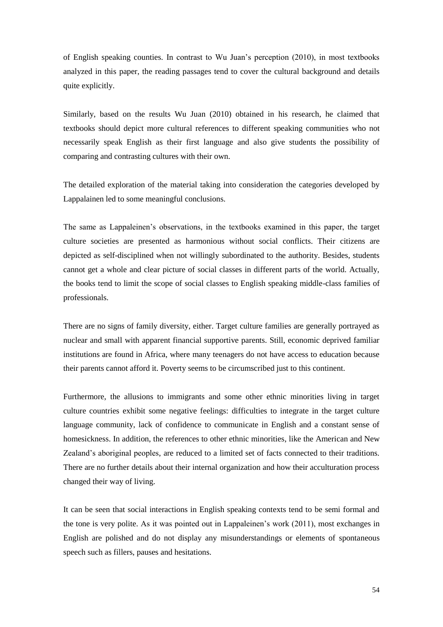of English speaking counties. In contrast to Wu Juan's perception (2010), in most textbooks analyzed in this paper, the reading passages tend to cover the cultural background and details quite explicitly.

Similarly, based on the results Wu Juan (2010) obtained in his research, he claimed that textbooks should depict more cultural references to different speaking communities who not necessarily speak English as their first language and also give students the possibility of comparing and contrasting cultures with their own.

The detailed exploration of the material taking into consideration the categories developed by Lappalainen led to some meaningful conclusions.

The same as Lappaleinen's observations, in the textbooks examined in this paper, the target culture societies are presented as harmonious without social conflicts. Their citizens are depicted as self-disciplined when not willingly subordinated to the authority. Besides, students cannot get a whole and clear picture of social classes in different parts of the world. Actually, the books tend to limit the scope of social classes to English speaking middle-class families of professionals.

There are no signs of family diversity, either. Target culture families are generally portrayed as nuclear and small with apparent financial supportive parents. Still, economic deprived familiar institutions are found in Africa, where many teenagers do not have access to education because their parents cannot afford it. Poverty seems to be circumscribed just to this continent.

Furthermore, the allusions to immigrants and some other ethnic minorities living in target culture countries exhibit some negative feelings: difficulties to integrate in the target culture language community, lack of confidence to communicate in English and a constant sense of homesickness. In addition, the references to other ethnic minorities, like the American and New Zealand's aboriginal peoples, are reduced to a limited set of facts connected to their traditions. There are no further details about their internal organization and how their acculturation process changed their way of living.

It can be seen that social interactions in English speaking contexts tend to be semi formal and the tone is very polite. As it was pointed out in Lappaleinen's work (2011), most exchanges in English are polished and do not display any misunderstandings or elements of spontaneous speech such as fillers, pauses and hesitations.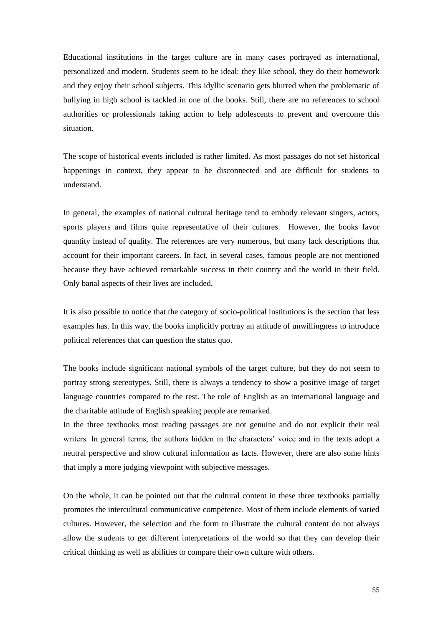Educational institutions in the target culture are in many cases portrayed as international, personalized and modern. Students seem to be ideal: they like school, they do their homework and they enjoy their school subjects. This idyllic scenario gets blurred when the problematic of bullying in high school is tackled in one of the books. Still, there are no references to school authorities or professionals taking action to help adolescents to prevent and overcome this situation.

The scope of historical events included is rather limited. As most passages do not set historical happenings in context, they appear to be disconnected and are difficult for students to understand.

In general, the examples of national cultural heritage tend to embody relevant singers, actors, sports players and films quite representative of their cultures. However, the books favor quantity instead of quality. The references are very numerous, but many lack descriptions that account for their important careers. In fact, in several cases, famous people are not mentioned because they have achieved remarkable success in their country and the world in their field. Only banal aspects of their lives are included.

It is also possible to notice that the category of socio-political institutions is the section that less examples has. In this way, the books implicitly portray an attitude of unwillingness to introduce political references that can question the status quo.

The books include significant national symbols of the target culture, but they do not seem to portray strong stereotypes. Still, there is always a tendency to show a positive image of target language countries compared to the rest. The role of English as an international language and the charitable attitude of English speaking people are remarked.

In the three textbooks most reading passages are not genuine and do not explicit their real writers. In general terms, the authors hidden in the characters' voice and in the texts adopt a neutral perspective and show cultural information as facts. However, there are also some hints that imply a more judging viewpoint with subjective messages.

On the whole, it can be pointed out that the cultural content in these three textbooks partially promotes the intercultural communicative competence. Most of them include elements of varied cultures. However, the selection and the form to illustrate the cultural content do not always allow the students to get different interpretations of the world so that they can develop their critical thinking as well as abilities to compare their own culture with others.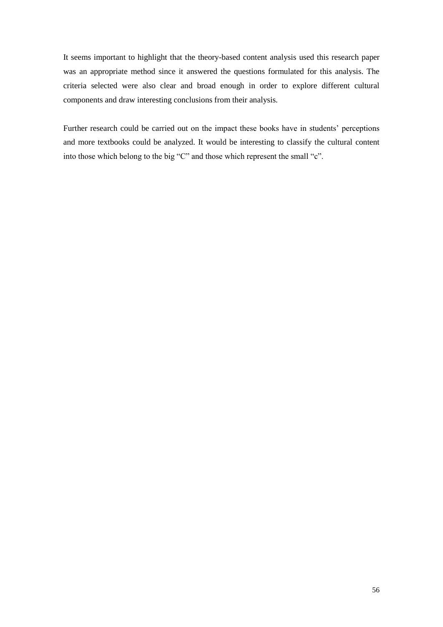It seems important to highlight that the theory-based content analysis used this research paper was an appropriate method since it answered the questions formulated for this analysis. The criteria selected were also clear and broad enough in order to explore different cultural components and draw interesting conclusions from their analysis.

Further research could be carried out on the impact these books have in students' perceptions and more textbooks could be analyzed. It would be interesting to classify the cultural content into those which belong to the big "C" and those which represent the small "c".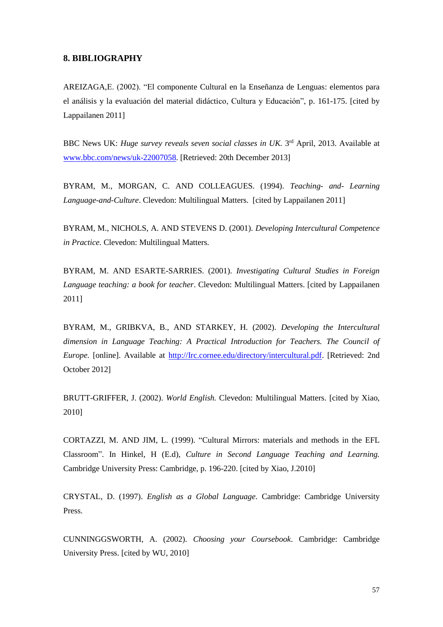## **8. BIBLIOGRAPHY**

AREIZAGA,E. (2002). "El componente Cultural en la Enseñanza de Lenguas: elementos para el análisis y la evaluación del material didáctico, Cultura y Educación", p. 161-175. [cited by Lappailanen 2011]

BBC News UK: *Huge survey reveals seven social classes in UK*. 3<sup>rd</sup> April, 2013. Available at [www.bbc.com/news/uk-22007058.](http://www.bbc.com/news/uk-22007058) [Retrieved: 20th December 2013]

BYRAM, M., MORGAN, C. AND COLLEAGUES. (1994). *Teaching- and- Learning Language-and-Culture*. Clevedon: Multilingual Matters. [cited by Lappailanen 2011]

BYRAM, M., NICHOLS, A. AND STEVENS D. (2001). *Developing Intercultural Competence in Practice.* Clevedon: Multilingual Matters.

BYRAM, M. AND ESARTE-SARRIES. (2001). *Investigating Cultural Studies in Foreign Language teaching: a book for teacher*. Clevedon: Multilingual Matters. [cited by Lappailanen 2011]

BYRAM, M., GRIBKVA, B., AND STARKEY, H. (2002). *Developing the Intercultural dimension in Language Teaching: A Practical Introduction for Teachers. The Council of Europe.* [online]. Available at [http://Irc.cornee.edu/directory/intercultural.pdf.](http://irc.cornee.edu/directory/intercultural.pdf) [Retrieved: 2nd October 2012]

BRUTT-GRIFFER, J. (2002). *World English.* Clevedon: Multilingual Matters. [cited by Xiao, 2010]

CORTAZZI, M. AND JIM, L. (1999). "Cultural Mirrors: materials and methods in the EFL Classroom". In Hinkel, H (E.d), *Culture in Second Language Teaching and Learning.* Cambridge University Press: Cambridge, p. 196-220. [cited by Xiao, J.2010]

CRYSTAL, D. (1997). *English as a Global Language*. Cambridge: Cambridge University Press.

CUNNINGGSWORTH, A. (2002). *Choosing your Coursebook*. Cambridge: Cambridge University Press. [cited by WU, 2010]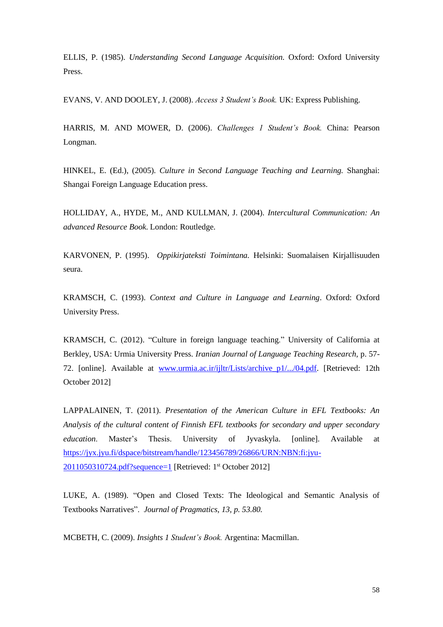ELLIS, P. (1985). *Understanding Second Language Acquisition.* Oxford: Oxford University Press.

EVANS, V. AND DOOLEY, J. (2008). *Access 3 Student's Book.* UK: Express Publishing.

HARRIS, M. AND MOWER, D. (2006). *Challenges 1 Student's Book.* China: Pearson Longman.

HINKEL, E. (Ed.), (2005). *Culture in Second Language Teaching and Learning.* Shanghai: Shangai Foreign Language Education press.

HOLLIDAY, A., HYDE, M., AND KULLMAN, J. (2004). *Intercultural Communication: An advanced Resource Book*. London: Routledge.

KARVONEN, P. (1995). *Oppikirjateksti Toimintana.* Helsinki: Suomalaisen Kirjallisuuden seura.

KRAMSCH, C. (1993). *Context and Culture in Language and Learning*. Oxford: Oxford University Press.

KRAMSCH, C. (2012). "Culture in foreign language teaching." University of California at Berkley, USA: Urmia University Press. *Iranian Journal of Language Teaching Research,* p. 57- 72. [online]. Available at [www.urmia.ac.ir/ijltr/Lists/archive\\_p1/.../04.pdf.](http://www.urmia.ac.ir/ijltr/Lists/archive_p1/.../04.pdf) [Retrieved: 12th October 2012]

LAPPALAINEN, T. (2011). *Presentation of the American Culture in EFL Textbooks: An Analysis of the cultural content of Finnish EFL textbooks for secondary and upper secondary education*. Master's Thesis. University of Jyvaskyla. [online]. Available at [https://jyx.jyu.fi/dspace/bitstream/handle/123456789/26866/URN:NBN:fi:jyu-](https://jyx.jyu.fi/dspace/bitstream/handle/123456789/26866/URN:NBN:fi:jyu-2011050310724.pdf?sequence=1)[2011050310724.pdf?sequence=1](https://jyx.jyu.fi/dspace/bitstream/handle/123456789/26866/URN:NBN:fi:jyu-2011050310724.pdf?sequence=1) [Retrieved: 1<sup>st</sup> October 2012]

LUKE, A. (1989). "Open and Closed Texts: The Ideological and Semantic Analysis of Textbooks Narratives". *Journal of Pragmatics, 13, p. 53.80.*

MCBETH, C. (2009). *Insights 1 Student's Book.* Argentina: Macmillan.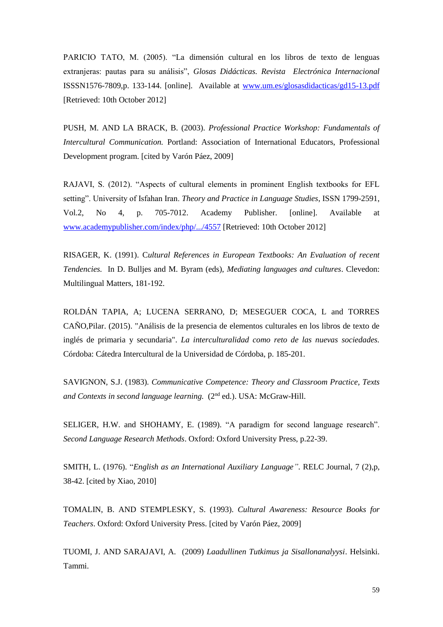PARICIO TATO, M. (2005). "La dimensión cultural en los libros de texto de lenguas extranjeras: pautas para su análisis", *Glosas Didácticas. Revista Electrónica Internacional* ISSSN1576-7809,p. 133-144. [online]. Available at [www.um.es/glosasdidacticas/gd15-13.pdf](http://www.um.es/glosasdidacticas/gd15-13.pdf) [Retrieved: 10th October 2012]

PUSH, M. AND LA BRACK, B. (2003). *Professional Practice Workshop: Fundamentals of Intercultural Communication.* Portland: Association of International Educators, Professional Development program. [cited by Varón Páez, 2009]

RAJAVI, S. (2012). "Aspects of cultural elements in prominent English textbooks for EFL setting". University of Isfahan Iran. *Theory and Practice in Language Studies*, ISSN 1799-2591, Vol.2, No 4, p. 705-7012. Academy Publisher. [online]. Available at [www.academypublisher.com/index/php/.../4557](http://www.academypublisher.com/index/php/.../4557) [Retrieved: 10th October 2012]

RISAGER, K. (1991). C*ultural References in European Textbooks: An Evaluation of recent Tendencies.* In D. Bulljes and M. Byram (eds), *Mediating languages and cultures*. Clevedon: Multilingual Matters, 181-192.

ROLDÁN TAPIA, A; LUCENA SERRANO, D; MESEGUER COCA, L and TORRES CAÑO,Pilar. (2015). "Análisis de la presencia de elementos culturales en los libros de texto de inglés de primaria y secundaria". *La interculturalidad como reto de las nuevas sociedades.* Córdoba: Cátedra Intercultural de la Universidad de Córdoba, p. 185-201.

SAVIGNON, S.J. (1983). *Communicative Competence: Theory and Classroom Practice, Texts and Contexts in second language learning.* (2nd ed.). USA: McGraw-Hill.

SELIGER, H.W. and SHOHAMY, E. (1989). "A paradigm for second language research". *Second Language Research Methods*. Oxford: Oxford University Press, p.22-39.

SMITH, L. (1976). "*English as an International Auxiliary Language"*. RELC Journal, 7 (2),p, 38-42. [cited by Xiao, 2010]

TOMALIN, B. AND STEMPLESKY, S. (1993). *Cultural Awareness: Resource Books for Teachers*. Oxford: Oxford University Press. [cited by Varón Páez, 2009]

TUOMI, J. AND SARAJAVI, A. (2009) *Laadullinen Tutkimus ja Sisallonanalyysi*. Helsinki. Tammi.